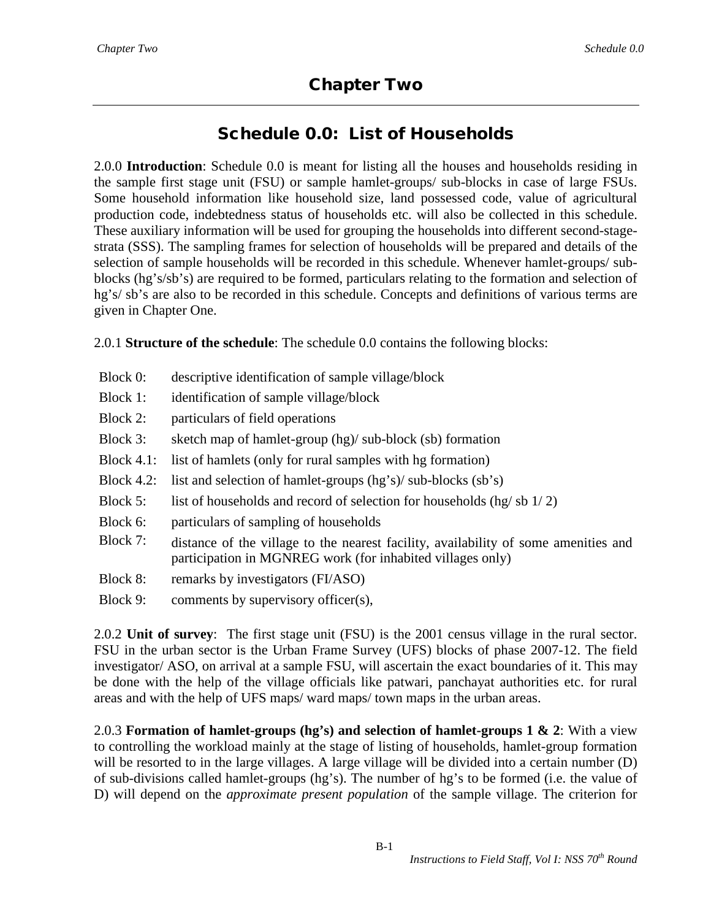# Chapter Two

# Schedule 0.0: List of Households

2.0.0 **Introduction**: Schedule 0.0 is meant for listing all the houses and households residing in the sample first stage unit (FSU) or sample hamlet-groups/ sub-blocks in case of large FSUs. Some household information like household size, land possessed code, value of agricultural production code, indebtedness status of households etc. will also be collected in this schedule. These auxiliary information will be used for grouping the households into different second-stagestrata (SSS). The sampling frames for selection of households will be prepared and details of the selection of sample households will be recorded in this schedule. Whenever hamlet-groups/ subblocks (hg's/sb's) are required to be formed, particulars relating to the formation and selection of hg's/ sb's are also to be recorded in this schedule. Concepts and definitions of various terms are given in Chapter One.

2.0.1 **Structure of the schedule**: The schedule 0.0 contains the following blocks:

- Block 0: descriptive identification of sample village/block
- Block 1: identification of sample village/block
- Block 2: particulars of field operations
- Block 3: sketch map of hamlet-group (hg)/ sub-block (sb) formation
- Block 4.1: list of hamlets (only for rural samples with hg formation)
- Block 4.2: list and selection of hamlet-groups  $(hg's)/$  sub-blocks  $(sb's)$
- Block 5: list of households and record of selection for households (hg/sb  $1/2$ )
- Block 6: particulars of sampling of households
- Block 7: distance of the village to the nearest facility, availability of some amenities and participation in MGNREG work (for inhabited villages only)
- Block 8: remarks by investigators (FI/ASO)
- Block 9: comments by supervisory officer(s),

2.0.2 **Unit of survey**: The first stage unit (FSU) is the 2001 census village in the rural sector. FSU in the urban sector is the Urban Frame Survey (UFS) blocks of phase 2007-12. The field investigator/ ASO, on arrival at a sample FSU, will ascertain the exact boundaries of it. This may be done with the help of the village officials like patwari, panchayat authorities etc. for rural areas and with the help of UFS maps/ ward maps/ town maps in the urban areas.

2.0.3 **Formation of hamlet-groups (hg's) and selection of hamlet-groups 1 & 2**: With a view to controlling the workload mainly at the stage of listing of households, hamlet-group formation will be resorted to in the large villages. A large village will be divided into a certain number (D) of sub-divisions called hamlet-groups (hg's). The number of hg's to be formed (i.e. the value of D) will depend on the *approximate present population* of the sample village. The criterion for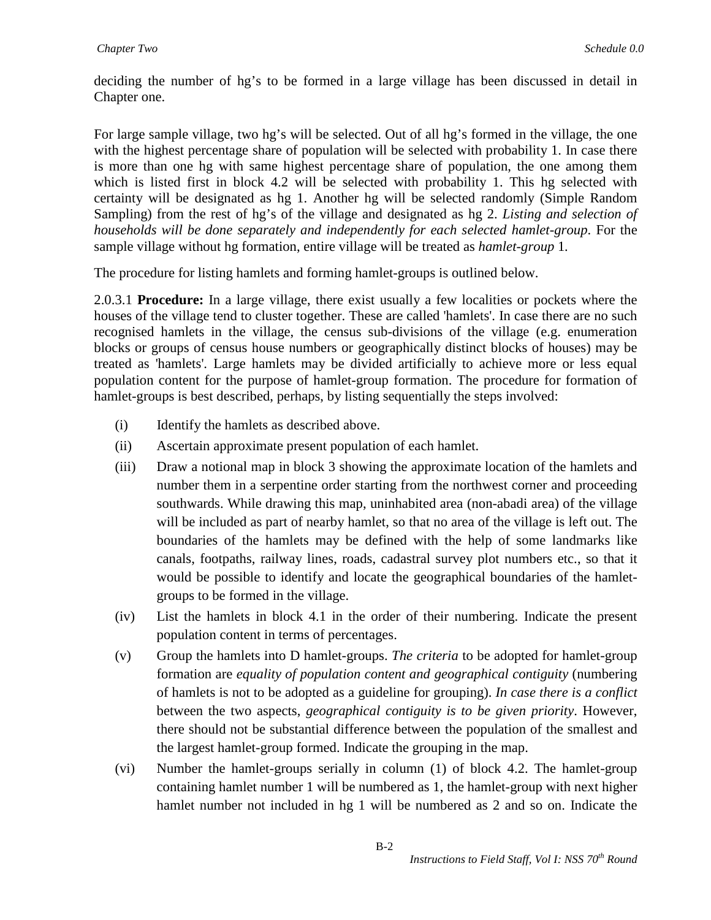deciding the number of hg's to be formed in a large village has been discussed in detail in Chapter one.

For large sample village, two hg's will be selected. Out of all hg's formed in the village, the one with the highest percentage share of population will be selected with probability 1. In case there is more than one hg with same highest percentage share of population, the one among them which is listed first in block 4.2 will be selected with probability 1. This hg selected with certainty will be designated as hg 1. Another hg will be selected randomly (Simple Random Sampling) from the rest of hg's of the village and designated as hg 2. *Listing and selection of households will be done separately and independently for each selected hamlet-group*. For the sample village without hg formation, entire village will be treated as *hamlet-group* 1*.*

The procedure for listing hamlets and forming hamlet-groups is outlined below.

2.0.3.1 **Procedure:** In a large village, there exist usually a few localities or pockets where the houses of the village tend to cluster together. These are called 'hamlets'. In case there are no such recognised hamlets in the village, the census sub-divisions of the village (e.g. enumeration blocks or groups of census house numbers or geographically distinct blocks of houses) may be treated as 'hamlets'. Large hamlets may be divided artificially to achieve more or less equal population content for the purpose of hamlet-group formation. The procedure for formation of hamlet-groups is best described, perhaps, by listing sequentially the steps involved:

- (i) Identify the hamlets as described above.
- (ii) Ascertain approximate present population of each hamlet.
- (iii) Draw a notional map in block 3 showing the approximate location of the hamlets and number them in a serpentine order starting from the northwest corner and proceeding southwards. While drawing this map, uninhabited area (non-abadi area) of the village will be included as part of nearby hamlet, so that no area of the village is left out. The boundaries of the hamlets may be defined with the help of some landmarks like canals, footpaths, railway lines, roads, cadastral survey plot numbers etc., so that it would be possible to identify and locate the geographical boundaries of the hamletgroups to be formed in the village.
- (iv) List the hamlets in block 4.1 in the order of their numbering. Indicate the present population content in terms of percentages.
- (v) Group the hamlets into D hamlet-groups. *The criteria* to be adopted for hamlet-group formation are *equality of population content and geographical contiguity* (numbering of hamlets is not to be adopted as a guideline for grouping). *In case there is a conflict* between the two aspects, *geographical contiguity is to be given priority*. However, there should not be substantial difference between the population of the smallest and the largest hamlet-group formed. Indicate the grouping in the map.
- (vi) Number the hamlet-groups serially in column (1) of block 4.2. The hamlet-group containing hamlet number 1 will be numbered as 1, the hamlet-group with next higher hamlet number not included in hg 1 will be numbered as 2 and so on. Indicate the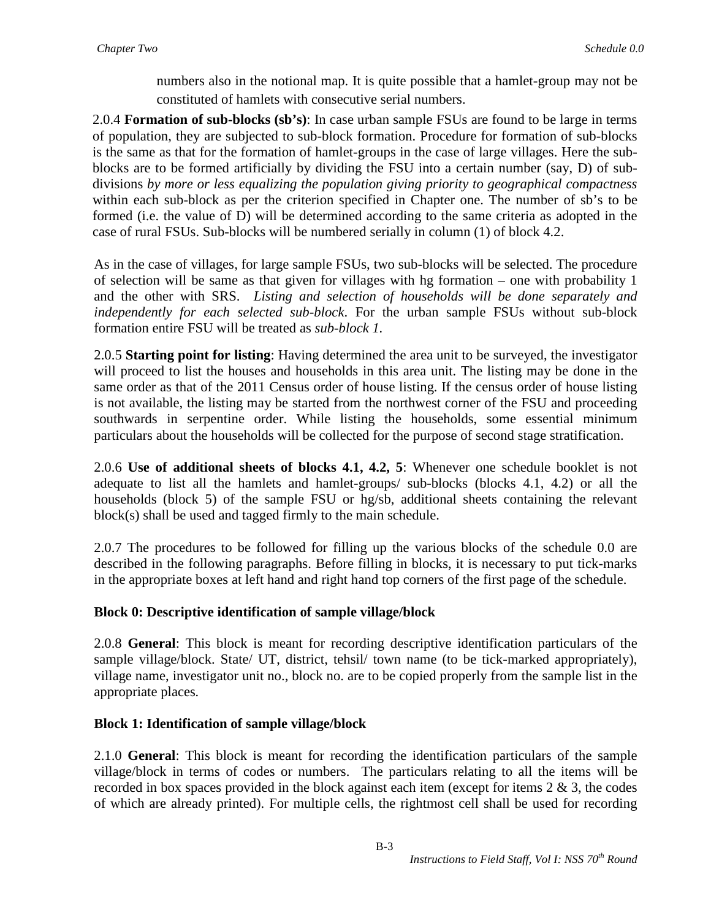numbers also in the notional map. It is quite possible that a hamlet-group may not be constituted of hamlets with consecutive serial numbers.

2.0.4 **Formation of sub-blocks (sb's)**: In case urban sample FSUs are found to be large in terms of population, they are subjected to sub-block formation. Procedure for formation of sub-blocks is the same as that for the formation of hamlet-groups in the case of large villages. Here the subblocks are to be formed artificially by dividing the FSU into a certain number (say, D) of subdivisions *by more or less equalizing the population giving priority to geographical compactness* within each sub-block as per the criterion specified in Chapter one. The number of sb's to be formed (i.e. the value of D) will be determined according to the same criteria as adopted in the case of rural FSUs. Sub-blocks will be numbered serially in column (1) of block 4.2.

As in the case of villages, for large sample FSUs, two sub-blocks will be selected. The procedure of selection will be same as that given for villages with hg formation – one with probability 1 and the other with SRS. *Listing and selection of households will be done separately and independently for each selected sub-block*. For the urban sample FSUs without sub-block formation entire FSU will be treated as *sub-block 1.*

2.0.5 **Starting point for listing**: Having determined the area unit to be surveyed, the investigator will proceed to list the houses and households in this area unit. The listing may be done in the same order as that of the 2011 Census order of house listing. If the census order of house listing is not available, the listing may be started from the northwest corner of the FSU and proceeding southwards in serpentine order. While listing the households, some essential minimum particulars about the households will be collected for the purpose of second stage stratification.

2.0.6 **Use of additional sheets of blocks 4.1, 4.2, 5**: Whenever one schedule booklet is not adequate to list all the hamlets and hamlet-groups/ sub-blocks (blocks 4.1, 4.2) or all the households (block 5) of the sample FSU or hg/sb, additional sheets containing the relevant block(s) shall be used and tagged firmly to the main schedule.

2.0.7 The procedures to be followed for filling up the various blocks of the schedule 0.0 are described in the following paragraphs. Before filling in blocks, it is necessary to put tick-marks in the appropriate boxes at left hand and right hand top corners of the first page of the schedule.

#### **Block 0: Descriptive identification of sample village/block**

2.0.8 **General**: This block is meant for recording descriptive identification particulars of the sample village/block. State/ UT, district, tehsil/ town name (to be tick-marked appropriately), village name, investigator unit no., block no. are to be copied properly from the sample list in the appropriate places*.* 

#### **Block 1: Identification of sample village/block**

2.1.0 **General**: This block is meant for recording the identification particulars of the sample village/block in terms of codes or numbers. The particulars relating to all the items will be recorded in box spaces provided in the block against each item (except for items 2 & 3, the codes of which are already printed). For multiple cells, the rightmost cell shall be used for recording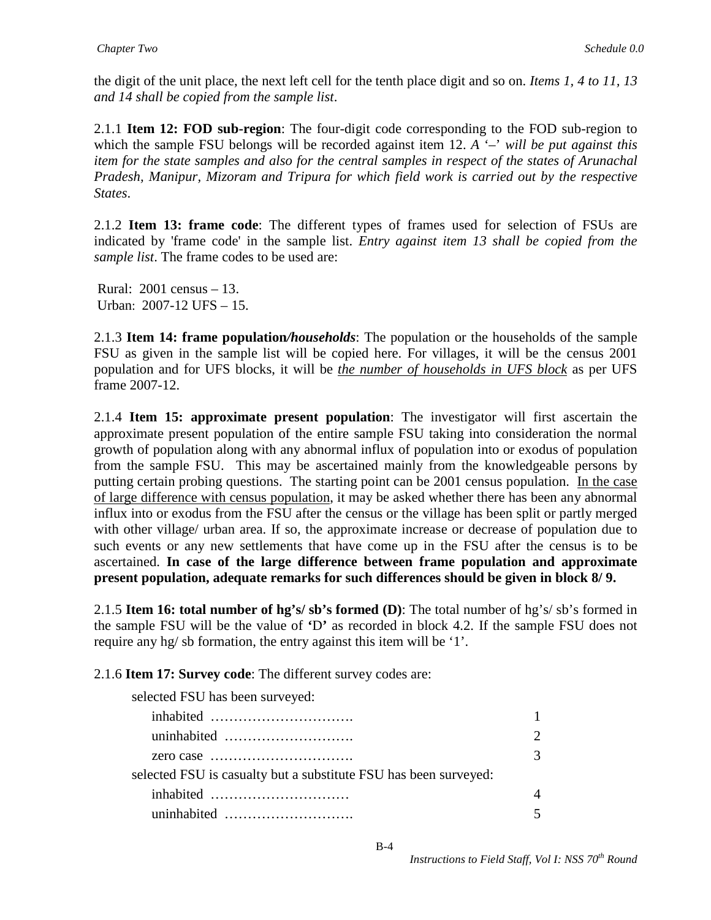the digit of the unit place, the next left cell for the tenth place digit and so on. *Items 1, 4 to 11, 13 and 14 shall be copied from the sample list*.

2.1.1 **Item 12: FOD sub-region**: The four-digit code corresponding to the FOD sub-region to which the sample FSU belongs will be recorded against item 12. *A* '–' *will be put against this item for the state samples and also for the central samples in respect of the states of Arunachal Pradesh, Manipur, Mizoram and Tripura for which field work is carried out by the respective States*.

2.1.2 **Item 13: frame code**: The different types of frames used for selection of FSUs are indicated by 'frame code' in the sample list. *Entry against item 13 shall be copied from the sample list*. The frame codes to be used are:

Rural: 2001 census – 13. Urban: 2007-12 UFS – 15.

2.1.3 **Item 14: frame population***/households*: The population or the households of the sample FSU as given in the sample list will be copied here. For villages, it will be the census 2001 population and for UFS blocks, it will be *the number of households in UFS block* as per UFS frame 2007-12.

2.1.4 **Item 15: approximate present population**: The investigator will first ascertain the approximate present population of the entire sample FSU taking into consideration the normal growth of population along with any abnormal influx of population into or exodus of population from the sample FSU. This may be ascertained mainly from the knowledgeable persons by putting certain probing questions. The starting point can be 2001 census population. In the case of large difference with census population, it may be asked whether there has been any abnormal influx into or exodus from the FSU after the census or the village has been split or partly merged with other village/ urban area. If so, the approximate increase or decrease of population due to such events or any new settlements that have come up in the FSU after the census is to be ascertained. **In case of the large difference between frame population and approximate present population, adequate remarks for such differences should be given in block 8/ 9.**

2.1.5 **Item 16: total number of hg's/ sb's formed (D)**: The total number of hg's/ sb's formed in the sample FSU will be the value of **'**D**'** as recorded in block 4.2. If the sample FSU does not require any hg/ sb formation, the entry against this item will be '1'.

2.1.6 **Item 17: Survey code**: The different survey codes are:

selected FSU has been surveyed:

|                                                                          | $\mathcal{D}$ |
|--------------------------------------------------------------------------|---------------|
| zero case $\dots\dots\dots\dots\dots\dots\dots\dots\dots\dots\dots\dots$ | $\mathcal{R}$ |
| selected FSU is casualty but a substitute FSU has been surveyed:         |               |
|                                                                          |               |
| uninhabited                                                              | 5             |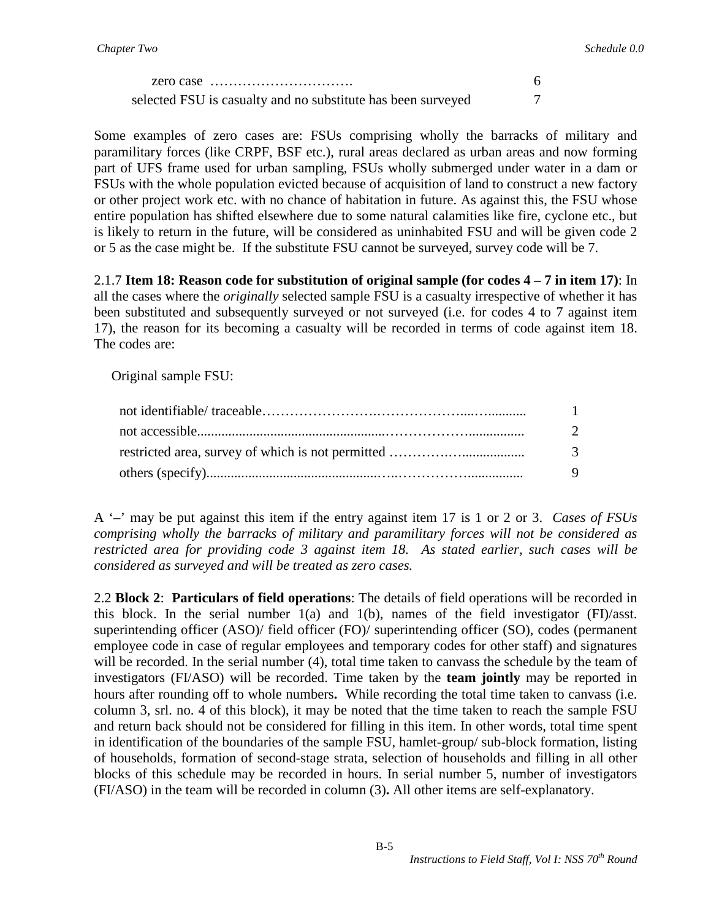| selected FSU is casualty and no substitute has been surveyed |  |
|--------------------------------------------------------------|--|

Some examples of zero cases are: FSUs comprising wholly the barracks of military and paramilitary forces (like CRPF, BSF etc.), rural areas declared as urban areas and now forming part of UFS frame used for urban sampling, FSUs wholly submerged under water in a dam or FSUs with the whole population evicted because of acquisition of land to construct a new factory or other project work etc. with no chance of habitation in future. As against this, the FSU whose entire population has shifted elsewhere due to some natural calamities like fire, cyclone etc., but is likely to return in the future, will be considered as uninhabited FSU and will be given code 2 or 5 as the case might be. If the substitute FSU cannot be surveyed, survey code will be 7.

2.1.7 **Item 18: Reason code for substitution of original sample (for codes 4 – 7 in item 17)**: In all the cases where the *originally* selected sample FSU is a casualty irrespective of whether it has been substituted and subsequently surveyed or not surveyed (i.e. for codes 4 to 7 against item 17), the reason for its becoming a casualty will be recorded in terms of code against item 18. The codes are:

Original sample FSU:

| $\mathbf{1}$  |
|---------------|
| $\mathcal{D}$ |
| $\mathcal{E}$ |
| <b>Q</b>      |

A '–' may be put against this item if the entry against item 17 is 1 or 2 or 3. *Cases of FSUs comprising wholly the barracks of military and paramilitary forces will not be considered as restricted area for providing code 3 against item 18. As stated earlier, such cases will be considered as surveyed and will be treated as zero cases.*

2.2 **Block 2**: **Particulars of field operations**: The details of field operations will be recorded in this block. In the serial number  $1(a)$  and  $1(b)$ , names of the field investigator  $(FI)/\text{asst.}$ superintending officer (ASO)/ field officer (FO)/ superintending officer (SO), codes (permanent employee code in case of regular employees and temporary codes for other staff) and signatures will be recorded. In the serial number (4), total time taken to canvass the schedule by the team of investigators (FI/ASO) will be recorded. Time taken by the **team jointly** may be reported in hours after rounding off to whole numbers**.** While recording the total time taken to canvass (i.e. column 3, srl. no. 4 of this block), it may be noted that the time taken to reach the sample FSU and return back should not be considered for filling in this item. In other words, total time spent in identification of the boundaries of the sample FSU, hamlet-group/ sub-block formation, listing of households, formation of second-stage strata, selection of households and filling in all other blocks of this schedule may be recorded in hours. In serial number 5, number of investigators (FI/ASO) in the team will be recorded in column (3)**.** All other items are self-explanatory.

B-5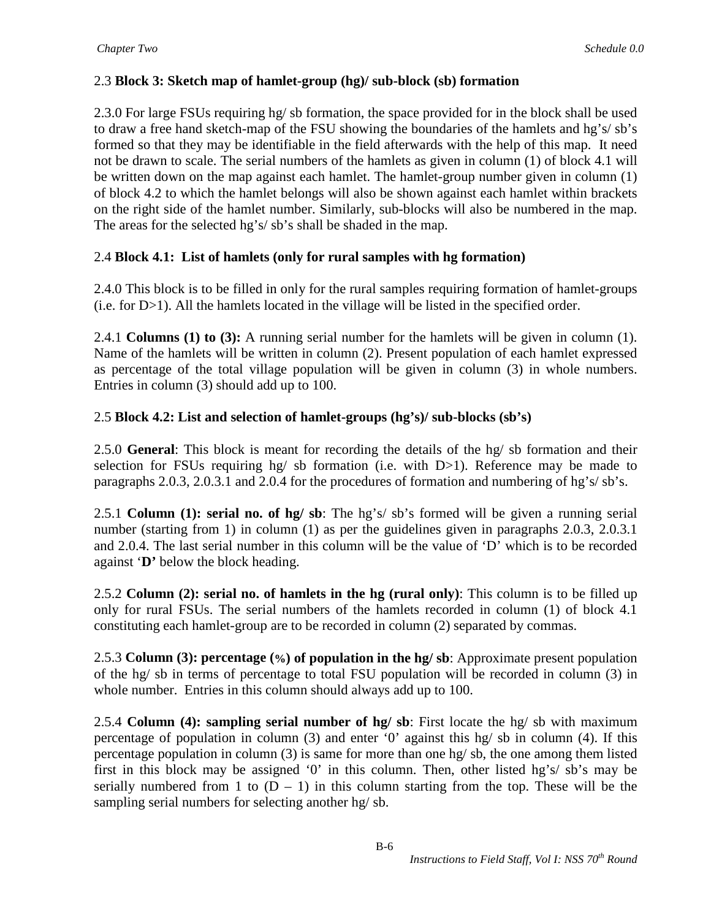# 2.3 **Block 3: Sketch map of hamlet-group (hg)/ sub-block (sb) formation**

2.3.0 For large FSUs requiring hg/ sb formation, the space provided for in the block shall be used to draw a free hand sketch-map of the FSU showing the boundaries of the hamlets and hg's/ sb's formed so that they may be identifiable in the field afterwards with the help of this map. It need not be drawn to scale. The serial numbers of the hamlets as given in column (1) of block 4.1 will be written down on the map against each hamlet. The hamlet-group number given in column (1) of block 4.2 to which the hamlet belongs will also be shown against each hamlet within brackets on the right side of the hamlet number. Similarly, sub-blocks will also be numbered in the map. The areas for the selected hg's/ sb's shall be shaded in the map.

## 2.4 **Block 4.1: List of hamlets (only for rural samples with hg formation)**

2.4.0 This block is to be filled in only for the rural samples requiring formation of hamlet-groups (i.e. for D>1). All the hamlets located in the village will be listed in the specified order.

2.4.1 **Columns (1) to (3):** A running serial number for the hamlets will be given in column (1). Name of the hamlets will be written in column (2). Present population of each hamlet expressed as percentage of the total village population will be given in column (3) in whole numbers. Entries in column (3) should add up to 100.

# 2.5 **Block 4.2: List and selection of hamlet-groups (hg's)/ sub-blocks (sb's)**

2.5.0 **General**: This block is meant for recording the details of the hg/ sb formation and their selection for FSUs requiring hg/ sb formation (i.e. with  $D>1$ ). Reference may be made to paragraphs 2.0.3, 2.0.3.1 and 2.0.4 for the procedures of formation and numbering of hg's/ sb's.

2.5.1 **Column (1): serial no. of hg/ sb**: The hg's/ sb's formed will be given a running serial number (starting from 1) in column (1) as per the guidelines given in paragraphs 2.0.3, 2.0.3.1 and 2.0.4. The last serial number in this column will be the value of 'D' which is to be recorded against '**D'** below the block heading.

2.5.2 **Column (2): serial no. of hamlets in the hg (rural only)**: This column is to be filled up only for rural FSUs. The serial numbers of the hamlets recorded in column (1) of block 4.1 constituting each hamlet-group are to be recorded in column (2) separated by commas.

2.5.3 **Column (3): percentage (%) of population in the hg/ sb**: Approximate present population of the hg/ sb in terms of percentage to total FSU population will be recorded in column (3) in whole number. Entries in this column should always add up to 100.

2.5.4 **Column (4): sampling serial number of hg/ sb**: First locate the hg/ sb with maximum percentage of population in column (3) and enter '0' against this hg/ sb in column (4). If this percentage population in column (3) is same for more than one hg/ sb, the one among them listed first in this block may be assigned '0' in this column. Then, other listed hg's/ sb's may be serially numbered from 1 to  $(D - 1)$  in this column starting from the top. These will be the sampling serial numbers for selecting another hg/ sb.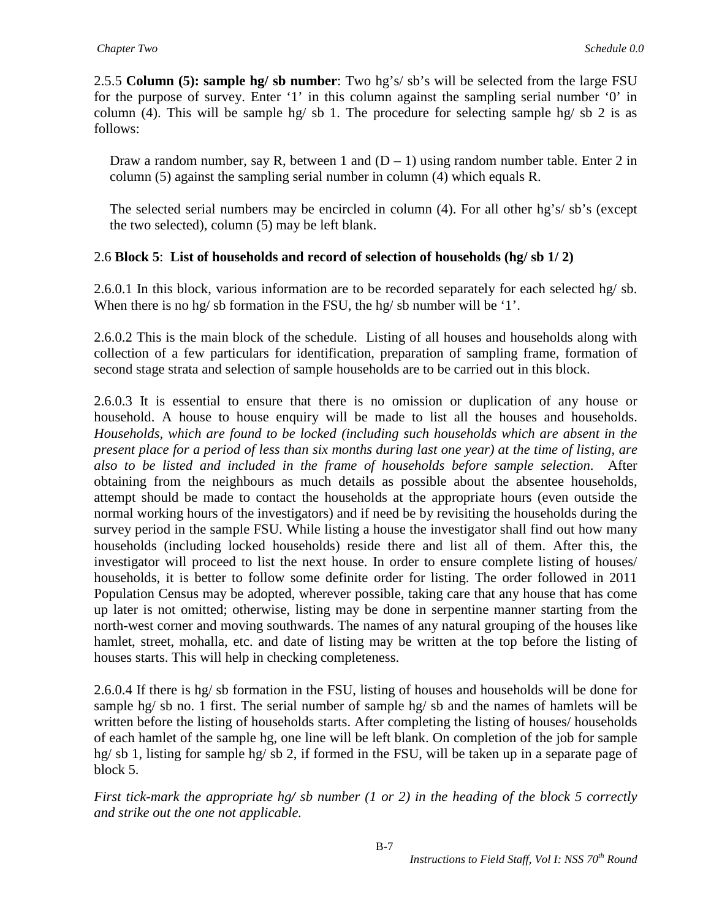2.5.5 **Column (5): sample hg/ sb number**: Two hg's/ sb's will be selected from the large FSU for the purpose of survey. Enter '1' in this column against the sampling serial number '0' in column (4). This will be sample hg/ sb 1. The procedure for selecting sample hg/ sb 2 is as follows:

Draw a random number, say R, between 1 and  $(D - 1)$  using random number table. Enter 2 in column (5) against the sampling serial number in column (4) which equals R.

The selected serial numbers may be encircled in column (4). For all other hg's/ sb's (except the two selected), column (5) may be left blank.

### 2.6 **Block 5**: **List of households and record of selection of households (hg/ sb 1/ 2)**

2.6.0.1 In this block, various information are to be recorded separately for each selected hg/ sb. When there is no hg/sb formation in the FSU, the hg/sb number will be '1'.

2.6.0.2 This is the main block of the schedule. Listing of all houses and households along with collection of a few particulars for identification, preparation of sampling frame, formation of second stage strata and selection of sample households are to be carried out in this block.

2.6.0.3 It is essential to ensure that there is no omission or duplication of any house or household. A house to house enquiry will be made to list all the houses and households. *Households, which are found to be locked (including such households which are absent in the present place for a period of less than six months during last one year) at the time of listing, are also to be listed and included in the frame of households before sample selection*. After obtaining from the neighbours as much details as possible about the absentee households, attempt should be made to contact the households at the appropriate hours (even outside the normal working hours of the investigators) and if need be by revisiting the households during the survey period in the sample FSU. While listing a house the investigator shall find out how many households (including locked households) reside there and list all of them. After this, the investigator will proceed to list the next house. In order to ensure complete listing of houses/ households, it is better to follow some definite order for listing. The order followed in 2011 Population Census may be adopted, wherever possible, taking care that any house that has come up later is not omitted; otherwise, listing may be done in serpentine manner starting from the north-west corner and moving southwards. The names of any natural grouping of the houses like hamlet, street, mohalla, etc. and date of listing may be written at the top before the listing of houses starts. This will help in checking completeness.

2.6.0.4 If there is hg/ sb formation in the FSU, listing of houses and households will be done for sample hg/ sb no. 1 first. The serial number of sample hg/ sb and the names of hamlets will be written before the listing of households starts. After completing the listing of houses/ households of each hamlet of the sample hg, one line will be left blank. On completion of the job for sample hg/ sb 1, listing for sample hg/ sb 2, if formed in the FSU, will be taken up in a separate page of block 5.

*First tick-mark the appropriate hg/ sb number (1 or 2) in the heading of the block 5 correctly and strike out the one not applicable.*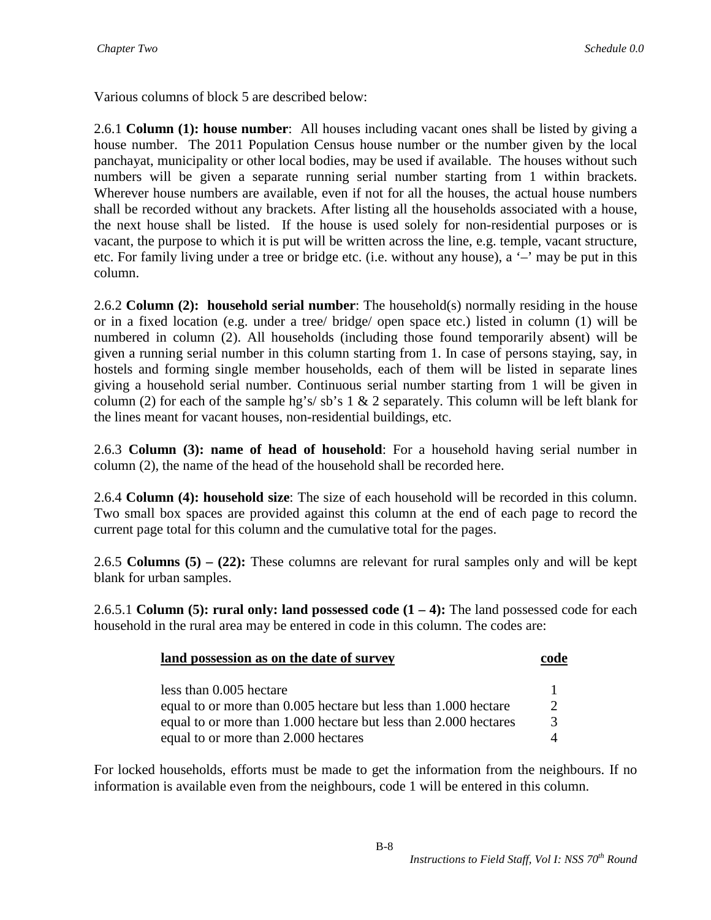Various columns of block 5 are described below:

2.6.1 **Column (1): house number**: All houses including vacant ones shall be listed by giving a house number. The 2011 Population Census house number or the number given by the local panchayat, municipality or other local bodies, may be used if available. The houses without such numbers will be given a separate running serial number starting from 1 within brackets. Wherever house numbers are available, even if not for all the houses, the actual house numbers shall be recorded without any brackets. After listing all the households associated with a house, the next house shall be listed. If the house is used solely for non-residential purposes or is vacant, the purpose to which it is put will be written across the line, e.g. temple, vacant structure, etc. For family living under a tree or bridge etc. (i.e. without any house), a '–' may be put in this column.

2.6.2 **Column (2): household serial number**: The household(s) normally residing in the house or in a fixed location (e.g. under a tree/ bridge/ open space etc.) listed in column (1) will be numbered in column (2). All households (including those found temporarily absent) will be given a running serial number in this column starting from 1. In case of persons staying, say, in hostels and forming single member households, each of them will be listed in separate lines giving a household serial number. Continuous serial number starting from 1 will be given in column (2) for each of the sample hg's/sb's 1  $\&$  2 separately. This column will be left blank for the lines meant for vacant houses, non-residential buildings, etc.

2.6.3 **Column (3): name of head of household**: For a household having serial number in column (2), the name of the head of the household shall be recorded here.

2.6.4 **Column (4): household size**: The size of each household will be recorded in this column. Two small box spaces are provided against this column at the end of each page to record the current page total for this column and the cumulative total for the pages.

2.6.5 **Columns (5) – (22):** These columns are relevant for rural samples only and will be kept blank for urban samples.

2.6.5.1 **Column (5): rural only: land possessed code (1 – 4):** The land possessed code for each household in the rural area may be entered in code in this column. The codes are:

| land possession as on the date of survey                         |               |
|------------------------------------------------------------------|---------------|
| less than 0.005 hectare                                          |               |
| equal to or more than 0.005 hectare but less than 1.000 hectare  | $\mathcal{D}$ |
| equal to or more than 1.000 hectare but less than 2.000 hectares | $\mathcal{R}$ |
| equal to or more than 2.000 hectares                             |               |

For locked households, efforts must be made to get the information from the neighbours. If no information is available even from the neighbours, code 1 will be entered in this column.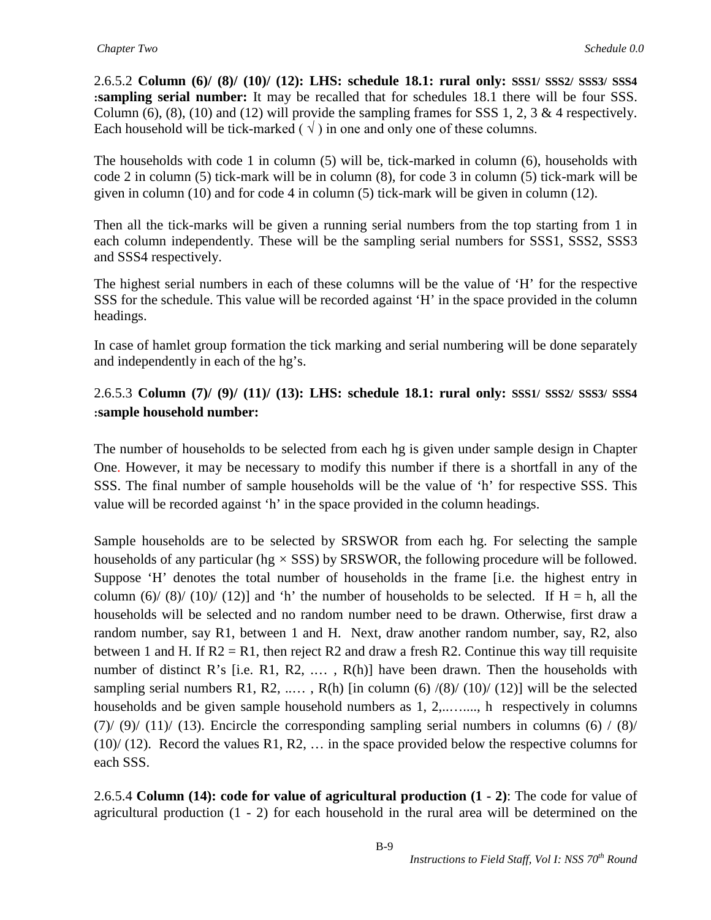2.6.5.2 **Column (6)/ (8)/ (10)/ (12): LHS: schedule 18.1: rural only: SSS1/ SSS2/ SSS3/ SSS4 :sampling serial number:** It may be recalled that for schedules 18.1 there will be four SSS. Column (6), (8), (10) and (12) will provide the sampling frames for SSS 1, 2, 3 & 4 respectively. Each household will be tick-marked ( $\sqrt{ }$ ) in one and only one of these columns.

The households with code 1 in column (5) will be, tick-marked in column (6), households with code 2 in column (5) tick-mark will be in column (8), for code 3 in column (5) tick-mark will be given in column (10) and for code 4 in column (5) tick-mark will be given in column (12).

Then all the tick-marks will be given a running serial numbers from the top starting from 1 in each column independently. These will be the sampling serial numbers for SSS1, SSS2, SSS3 and SSS4 respectively.

The highest serial numbers in each of these columns will be the value of 'H' for the respective SSS for the schedule. This value will be recorded against 'H' in the space provided in the column headings.

In case of hamlet group formation the tick marking and serial numbering will be done separately and independently in each of the hg's.

# 2.6.5.3 **Column (7)/ (9)/ (11)/ (13): LHS: schedule 18.1: rural only: SSS1/ SSS2/ SSS3/ SSS4 :sample household number:**

The number of households to be selected from each hg is given under sample design in Chapter One. However, it may be necessary to modify this number if there is a shortfall in any of the SSS. The final number of sample households will be the value of 'h' for respective SSS. This value will be recorded against 'h' in the space provided in the column headings.

Sample households are to be selected by SRSWOR from each hg. For selecting the sample households of any particular (hg *×* SSS) by SRSWOR, the following procedure will be followed. Suppose 'H' denotes the total number of households in the frame [i.e. the highest entry in column (6)/ (8)/ (10)/ (12)] and 'h' the number of households to be selected. If  $H = h$ , all the households will be selected and no random number need to be drawn. Otherwise, first draw a random number, say R1, between 1 and H. Next, draw another random number, say, R2, also between 1 and H. If  $R2 = R1$ , then reject R2 and draw a fresh R2. Continue this way till requisite number of distinct R's [i.e. R1, R2, ..., R(h)] have been drawn. Then the households with sampling serial numbers R1, R2, ...., R(h) [in column (6)  $/(8)/(10)/(12)$ ] will be the selected households and be given sample household numbers as 1, 2,........., h respectively in columns (7)/ (9)/ (11)/ (13). Encircle the corresponding sampling serial numbers in columns (6) / (8)/  $(10)/(12)$ . Record the values R1, R2, ... in the space provided below the respective columns for each SSS.

2.6.5.4 **Column (14): code for value of agricultural production (1 - 2)**: The code for value of agricultural production (1 - 2) for each household in the rural area will be determined on the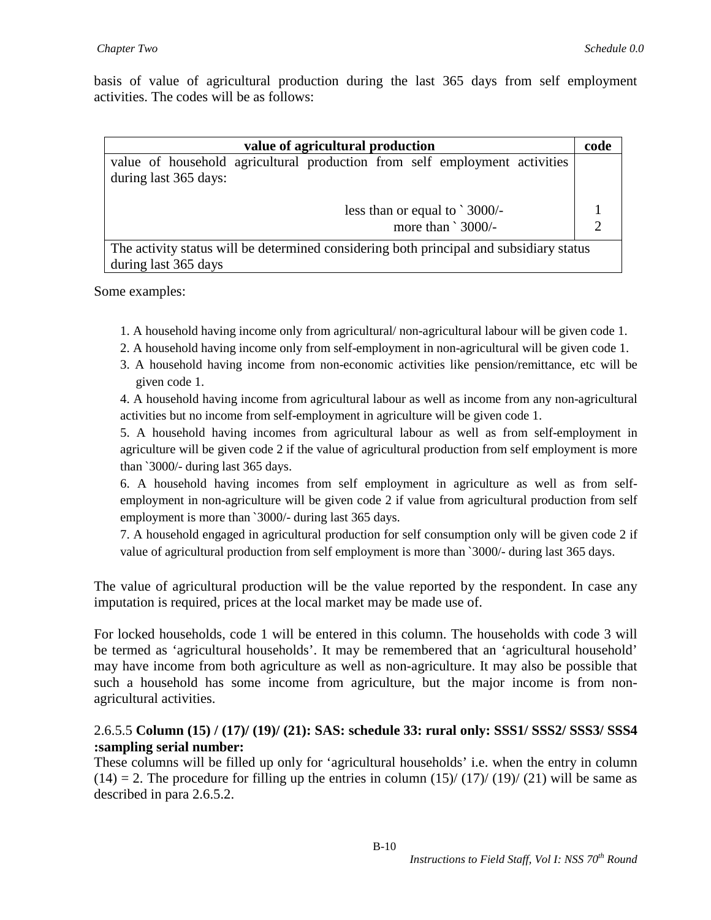basis of value of agricultural production during the last 365 days from self employment activities. The codes will be as follows:

| value of agricultural production                                                        |  |  |  |  |  |  |
|-----------------------------------------------------------------------------------------|--|--|--|--|--|--|
| value of household agricultural production from self employment activities              |  |  |  |  |  |  |
| during last 365 days:                                                                   |  |  |  |  |  |  |
| less than or equal to $\degree$ 3000/-                                                  |  |  |  |  |  |  |
| more than `3000/-                                                                       |  |  |  |  |  |  |
| The activity status will be determined considering both principal and subsidiary status |  |  |  |  |  |  |
| during last 365 days                                                                    |  |  |  |  |  |  |

Some examples:

- 1. A household having income only from agricultural/ non-agricultural labour will be given code 1.
- 2. A household having income only from self-employment in non-agricultural will be given code 1.
- 3. A household having income from non-economic activities like pension/remittance, etc will be given code 1.

4. A household having income from agricultural labour as well as income from any non-agricultural activities but no income from self-employment in agriculture will be given code 1.

5. A household having incomes from agricultural labour as well as from self-employment in agriculture will be given code 2 if the value of agricultural production from self employment is more than `3000/- during last 365 days.

6. A household having incomes from self employment in agriculture as well as from selfemployment in non-agriculture will be given code 2 if value from agricultural production from self employment is more than `3000/- during last 365 days.

7. A household engaged in agricultural production for self consumption only will be given code 2 if value of agricultural production from self employment is more than `3000/- during last 365 days.

The value of agricultural production will be the value reported by the respondent. In case any imputation is required, prices at the local market may be made use of.

For locked households, code 1 will be entered in this column. The households with code 3 will be termed as 'agricultural households'. It may be remembered that an 'agricultural household' may have income from both agriculture as well as non-agriculture. It may also be possible that such a household has some income from agriculture, but the major income is from nonagricultural activities.

#### 2.6.5.5 **Column (15) / (17)/ (19)/ (21): SAS: schedule 33: rural only: SSS1/ SSS2/ SSS3/ SSS4 :sampling serial number:**

These columns will be filled up only for 'agricultural households' i.e. when the entry in column  $(14) = 2$ . The procedure for filling up the entries in column  $(15)/(17)/(19)/(21)$  will be same as described in para 2.6.5.2.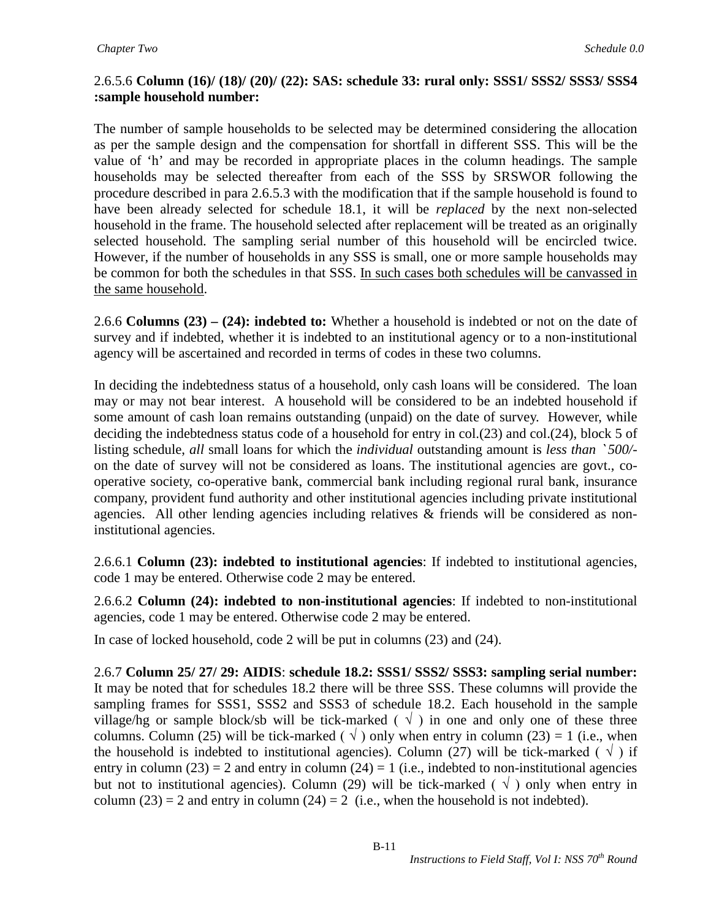### 2.6.5.6 **Column (16)/ (18)/ (20)/ (22): SAS: schedule 33: rural only: SSS1/ SSS2/ SSS3/ SSS4 :sample household number:**

The number of sample households to be selected may be determined considering the allocation as per the sample design and the compensation for shortfall in different SSS. This will be the value of 'h' and may be recorded in appropriate places in the column headings. The sample households may be selected thereafter from each of the SSS by SRSWOR following the procedure described in para 2.6.5.3 with the modification that if the sample household is found to have been already selected for schedule 18.1, it will be *replaced* by the next non-selected household in the frame. The household selected after replacement will be treated as an originally selected household. The sampling serial number of this household will be encircled twice. However, if the number of households in any SSS is small, one or more sample households may be common for both the schedules in that SSS. In such cases both schedules will be canvassed in the same household.

2.6.6 **Columns (23) – (24): indebted to:** Whether a household is indebted or not on the date of survey and if indebted, whether it is indebted to an institutional agency or to a non-institutional agency will be ascertained and recorded in terms of codes in these two columns.

In deciding the indebtedness status of a household, only cash loans will be considered. The loan may or may not bear interest. A household will be considered to be an indebted household if some amount of cash loan remains outstanding (unpaid) on the date of survey. However, while deciding the indebtedness status code of a household for entry in col.(23) and col.(24), block 5 of listing schedule, *all* small loans for which the *individual* outstanding amount is *less than* ` *500/* on the date of survey will not be considered as loans. The institutional agencies are govt., cooperative society, co-operative bank, commercial bank including regional rural bank, insurance company, provident fund authority and other institutional agencies including private institutional agencies. All other lending agencies including relatives & friends will be considered as noninstitutional agencies.

2.6.6.1 **Column (23): indebted to institutional agencies**: If indebted to institutional agencies, code 1 may be entered. Otherwise code 2 may be entered.

2.6.6.2 **Column (24): indebted to non-institutional agencies**: If indebted to non-institutional agencies, code 1 may be entered. Otherwise code 2 may be entered.

In case of locked household, code 2 will be put in columns (23) and (24).

2.6.7 **Column 25/ 27/ 29: AIDIS**: **schedule 18.2: SSS1/ SSS2/ SSS3: sampling serial number:** It may be noted that for schedules 18.2 there will be three SSS. These columns will provide the sampling frames for SSS1, SSS2 and SSS3 of schedule 18.2. Each household in the sample village/hg or sample block/sb will be tick-marked ( $\sqrt{ }$ ) in one and only one of these three columns. Column (25) will be tick-marked ( $\sqrt{ }$ ) only when entry in column (23) = 1 (i.e., when the household is indebted to institutional agencies). Column (27) will be tick-marked ( $\sqrt{ }$ ) if entry in column (23) = 2 and entry in column (24) = 1 (i.e., indebted to non-institutional agencies but not to institutional agencies). Column (29) will be tick-marked ( $\sqrt{ }$ ) only when entry in column (23) = 2 and entry in column (24) = 2 (i.e., when the household is not indebted).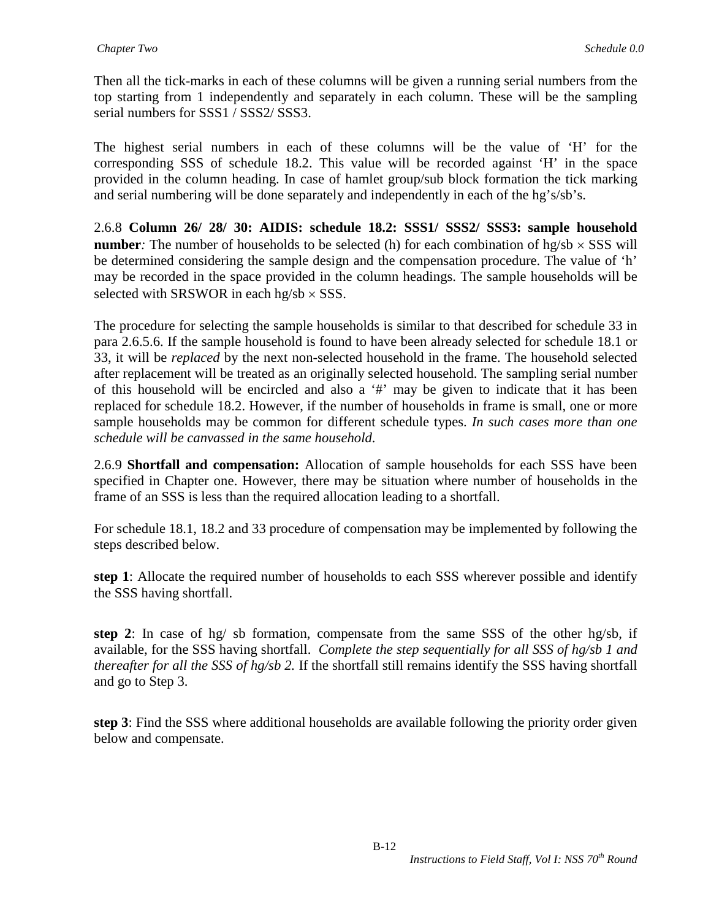Then all the tick-marks in each of these columns will be given a running serial numbers from the top starting from 1 independently and separately in each column. These will be the sampling serial numbers for SSS1 / SSS2/ SSS3.

The highest serial numbers in each of these columns will be the value of 'H' for the corresponding SSS of schedule 18.2. This value will be recorded against 'H' in the space provided in the column heading. In case of hamlet group/sub block formation the tick marking and serial numbering will be done separately and independently in each of the hg's/sb's.

2.6.8 **Column 26/ 28/ 30: AIDIS: schedule 18.2: SSS1/ SSS2/ SSS3: sample household number**: The number of households to be selected (h) for each combination of  $hg/sb \times SSS$  will be determined considering the sample design and the compensation procedure. The value of 'h' may be recorded in the space provided in the column headings. The sample households will be selected with SRSWOR in each hg/sb  $\times$  SSS.

The procedure for selecting the sample households is similar to that described for schedule 33 in para 2.6.5.6. If the sample household is found to have been already selected for schedule 18.1 or 33, it will be *replaced* by the next non-selected household in the frame. The household selected after replacement will be treated as an originally selected household. The sampling serial number of this household will be encircled and also a '#' may be given to indicate that it has been replaced for schedule 18.2. However, if the number of households in frame is small, one or more sample households may be common for different schedule types. *In such cases more than one schedule will be canvassed in the same household.*

2.6.9 **Shortfall and compensation:** Allocation of sample households for each SSS have been specified in Chapter one. However, there may be situation where number of households in the frame of an SSS is less than the required allocation leading to a shortfall.

For schedule 18.1, 18.2 and 33 procedure of compensation may be implemented by following the steps described below.

**step 1**: Allocate the required number of households to each SSS wherever possible and identify the SSS having shortfall.

**step 2**: In case of hg/ sb formation, compensate from the same SSS of the other hg/sb, if available, for the SSS having shortfall. *Complete the step sequentially for all SSS of hg/sb 1 and thereafter for all the SSS of hg/sb 2.* If the shortfall still remains identify the SSS having shortfall and go to Step 3.

**step 3**: Find the SSS where additional households are available following the priority order given below and compensate.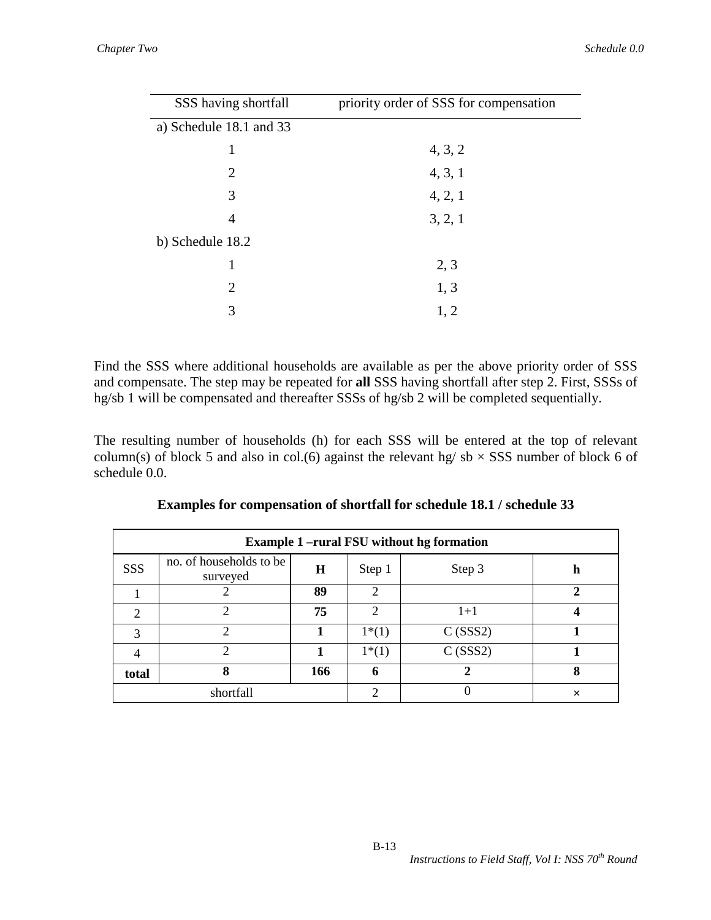| SSS having shortfall    | priority order of SSS for compensation |
|-------------------------|----------------------------------------|
| a) Schedule 18.1 and 33 |                                        |
| 1                       | 4, 3, 2                                |
| 2                       | 4, 3, 1                                |
| 3                       | 4, 2, 1                                |
| 4                       | 3, 2, 1                                |
| b) Schedule 18.2        |                                        |
| 1                       | 2, 3                                   |
| 2                       | 1, 3                                   |
| 3                       | 1, 2                                   |

Find the SSS where additional households are available as per the above priority order of SSS and compensate. The step may be repeated for **all** SSS having shortfall after step 2. First, SSSs of hg/sb 1 will be compensated and thereafter SSSs of hg/sb 2 will be completed sequentially.

The resulting number of households (h) for each SSS will be entered at the top of relevant column(s) of block 5 and also in col.(6) against the relevant hg/  $sb \times SSS$  number of block 6 of schedule 0.0.

|                | <b>Example 1-rural FSU without hg formation</b> |         |         |         |              |  |  |  |  |
|----------------|-------------------------------------------------|---------|---------|---------|--------------|--|--|--|--|
| SSS            | no. of households to be<br>surveyed             | $\bf H$ | Step 1  | Step 3  | h            |  |  |  |  |
|                | 2                                               | 89      | 2       |         | $\mathbf{2}$ |  |  |  |  |
| 2              | $\mathcal{D}_{\mathcal{L}}$                     | 75      | 2       | $1+1$   | 4            |  |  |  |  |
| 3              | っ                                               |         | $1*(1)$ | C(SSS2) |              |  |  |  |  |
| $\overline{4}$ | $\overline{2}$                                  |         | $1*(1)$ | C(SSS2) |              |  |  |  |  |
| total          | 8                                               | 166     | 6       |         | 8            |  |  |  |  |
|                | shortfall                                       |         | ∍       | O       | ×            |  |  |  |  |

|  | Examples for compensation of shortfall for schedule 18.1 / schedule 33 |  |  |  |  |
|--|------------------------------------------------------------------------|--|--|--|--|
|--|------------------------------------------------------------------------|--|--|--|--|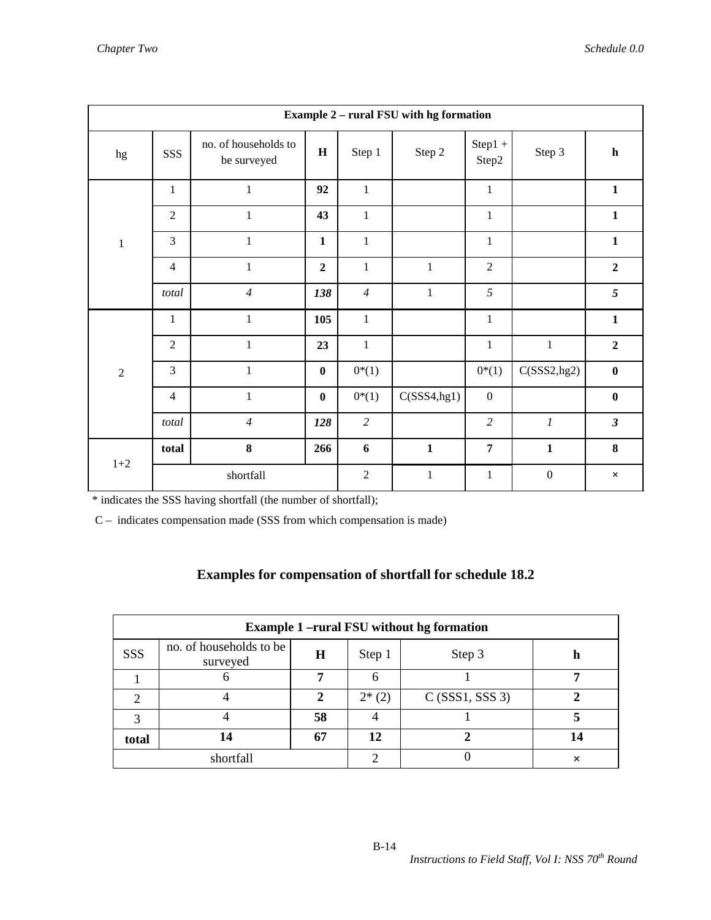|                | <b>Example 2 - rural FSU with hg formation</b> |                                     |                |                |              |                     |                  |                |  |
|----------------|------------------------------------------------|-------------------------------------|----------------|----------------|--------------|---------------------|------------------|----------------|--|
| hg             | SSS                                            | no. of households to<br>be surveyed | H              | Step 1         | Step 2       | $Step 1 +$<br>Step2 | Step 3           | $\mathbf h$    |  |
|                | $\mathbf{1}$                                   | $\mathbf{1}$                        | 92             | $\mathbf{1}$   |              | $\mathbf{1}$        |                  | $\mathbf{1}$   |  |
|                | $\overline{2}$                                 | $\mathbf{1}$                        | 43             | $\mathbf{1}$   |              | $\mathbf{1}$        |                  | $\mathbf{1}$   |  |
| $\,1\,$        | $\overline{3}$                                 | $\mathbf{1}$                        | $\mathbf{1}$   | $\mathbf{1}$   |              | $\mathbf{1}$        |                  | $\mathbf{1}$   |  |
|                | $\overline{4}$                                 | $\,1$                               | $\overline{2}$ | $\mathbf{1}$   | $\mathbf{1}$ | $\overline{2}$      |                  | $\overline{2}$ |  |
|                | total                                          | $\overline{4}$                      | 138            | $\overline{4}$ | $\mathbf 1$  | 5                   |                  | 5              |  |
|                | $\mathbf{1}$                                   | $\mathbf{1}$                        | 105            | $\mathbf{1}$   |              | $\mathbf{1}$        |                  | $\mathbf{1}$   |  |
|                | $\overline{2}$                                 | $\mathbf{1}$                        | 23             | $\mathbf{1}$   |              | $\mathbf{1}$        | $\mathbf{1}$     | $\overline{2}$ |  |
| $\overline{2}$ | 3                                              | $\mathbf{1}$                        | $\bf{0}$       | $0*(1)$        |              | $0*(1)$             | C(SSS2, hg2)     | $\bf{0}$       |  |
|                | $\overline{4}$                                 | $\mathbf{1}$                        | $\bf{0}$       | $0*(1)$        | C(SSS4, hg1) | $\boldsymbol{0}$    |                  | $\bf{0}$       |  |
|                | total                                          | $\overline{4}$                      | 128            | $\overline{c}$ |              | $\overline{c}$      | $\boldsymbol{l}$ | $\mathfrak{z}$ |  |
| $1 + 2$        | total                                          | 8                                   | 266            | 6              | $\mathbf{1}$ | $\overline{7}$      | $\mathbf{1}$     | 8              |  |
|                |                                                | shortfall                           |                | $\sqrt{2}$     | $\mathbf 1$  | $\mathbf{1}$        | $\boldsymbol{0}$ | $\times$       |  |

\* indicates the SSS having shortfall (the number of shortfall);

C – indicates compensation made (SSS from which compensation is made)

#### **Examples for compensation of shortfall for schedule 18.2**

|       | <b>Example 1-rural FSU without hg formation</b> |    |         |                   |    |  |  |  |  |
|-------|-------------------------------------------------|----|---------|-------------------|----|--|--|--|--|
| SSS   | no. of households to be<br>surveyed             | H  | Step 1  | Step 3            |    |  |  |  |  |
|       |                                                 | ៗ  |         |                   |    |  |  |  |  |
|       |                                                 |    | $2*(2)$ | $C$ (SSS1, SSS 3) |    |  |  |  |  |
|       |                                                 | 58 |         |                   |    |  |  |  |  |
| total |                                                 | 67 | 12      |                   | 14 |  |  |  |  |
|       | shortfall                                       |    |         |                   | ×  |  |  |  |  |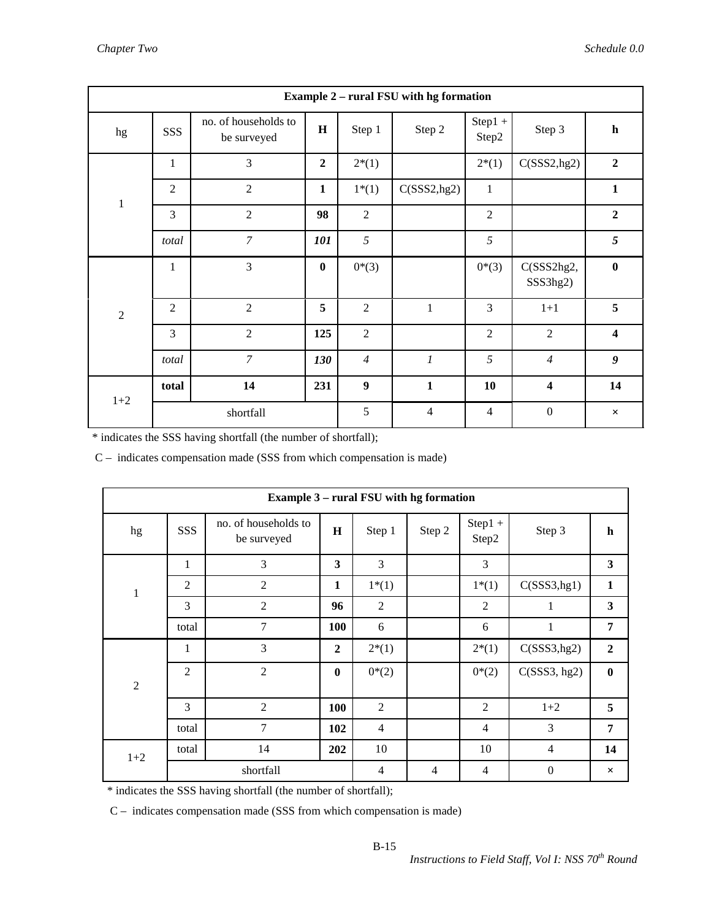|                | <b>Example 2 – rural FSU with hg formation</b> |                                     |                |                  |                  |                     |                         |                         |  |
|----------------|------------------------------------------------|-------------------------------------|----------------|------------------|------------------|---------------------|-------------------------|-------------------------|--|
| hg             | SSS                                            | no. of households to<br>be surveyed | $\mathbf H$    | Step 1           | Step 2           | $Step 1 +$<br>Step2 | Step 3                  | $\mathbf h$             |  |
|                | $\mathbf{1}$                                   | 3                                   | $\overline{2}$ | $2*(1)$          |                  | $2*(1)$             | C(SSS2, hg2)            | $\overline{2}$          |  |
| $\,1$          | $\overline{2}$                                 | $\overline{2}$                      | $\mathbf{1}$   | $1*(1)$          | C(SSS2, hg2)     | $\mathbf{1}$        |                         | $\mathbf{1}$            |  |
|                | 3                                              | $\overline{2}$                      | 98             | $\overline{2}$   |                  | $\overline{2}$      |                         | $\overline{2}$          |  |
|                | total                                          | 7                                   | 101            | 5                |                  | 5                   |                         | 5                       |  |
|                | $\mathbf{1}$                                   | 3                                   | $\bf{0}$       | $0*(3)$          |                  | $0*(3)$             | C(SSS2hg2,<br>SSS3hg2)  | $\bf{0}$                |  |
| $\overline{2}$ | $\overline{2}$                                 | $\overline{2}$                      | 5              | $\overline{2}$   | 1                | 3                   | $1 + 1$                 | 5                       |  |
|                | 3                                              | $\overline{2}$                      | 125            | $\overline{2}$   |                  | $\overline{2}$      | $\overline{2}$          | $\overline{\mathbf{4}}$ |  |
|                | total                                          | $\overline{7}$                      | 130            | $\overline{4}$   | $\boldsymbol{l}$ | 5                   | $\overline{4}$          | $\boldsymbol{g}$        |  |
| $1 + 2$        | total                                          | 14                                  | 231            | $\boldsymbol{9}$ | $\mathbf{1}$     | 10                  | $\overline{\mathbf{4}}$ | 14                      |  |
|                |                                                | shortfall                           |                | 5                | $\overline{4}$   | $\overline{4}$      | $\boldsymbol{0}$        | $\times$                |  |

\* indicates the SSS having shortfall (the number of shortfall);

C – indicates compensation made (SSS from which compensation is made)

|                | <b>Example 3 – rural FSU with hg formation</b> |                                     |                  |                |        |                  |                  |                         |
|----------------|------------------------------------------------|-------------------------------------|------------------|----------------|--------|------------------|------------------|-------------------------|
| hg             | SSS                                            | no. of households to<br>be surveyed | H                | Step 1         | Step 2 | Step1 +<br>Step2 | Step 3           | $\mathbf h$             |
|                | $\mathbf{1}$                                   | 3                                   | 3                | 3              |        | 3                |                  | $\overline{\mathbf{3}}$ |
| $\mathbf{1}$   | $\mathfrak{2}$                                 | $\mathfrak{2}$                      | $\mathbf{1}$     | $1*(1)$        |        | $1*(1)$          | C(SSS3, hg1)     | $\mathbf{1}$            |
|                | 3                                              | $\overline{2}$                      | 96               | $\sqrt{2}$     |        | $\overline{2}$   | 1                | $\mathbf{3}$            |
|                | total                                          | $\overline{7}$                      | 100              | 6              |        | 6                | $\mathbf{1}$     | $\overline{7}$          |
|                | 1                                              | 3                                   | $\boldsymbol{2}$ | $2*(1)$        |        | $2*(1)$          | C(SSS3,hg2)      | $\boldsymbol{2}$        |
| $\overline{2}$ | $\overline{2}$                                 | $\overline{2}$                      | $\bf{0}$         | $0*(2)$        |        | $0*(2)$          | C(SSS3, hg2)     | $\bf{0}$                |
|                | 3                                              | $\overline{2}$                      | 100              | $\overline{2}$ |        | $\overline{2}$   | $1+2$            | 5                       |
|                | total                                          | 7                                   | 102              | $\overline{4}$ |        | $\overline{4}$   | 3                | 7                       |
| $1+2$          | total                                          | 14                                  | 202              | 10             |        | 10               | $\overline{4}$   | 14                      |
|                |                                                | shortfall                           |                  | $\overline{4}$ | 4      | 4                | $\boldsymbol{0}$ | $\times$                |

\* indicates the SSS having shortfall (the number of shortfall);

C – indicates compensation made (SSS from which compensation is made)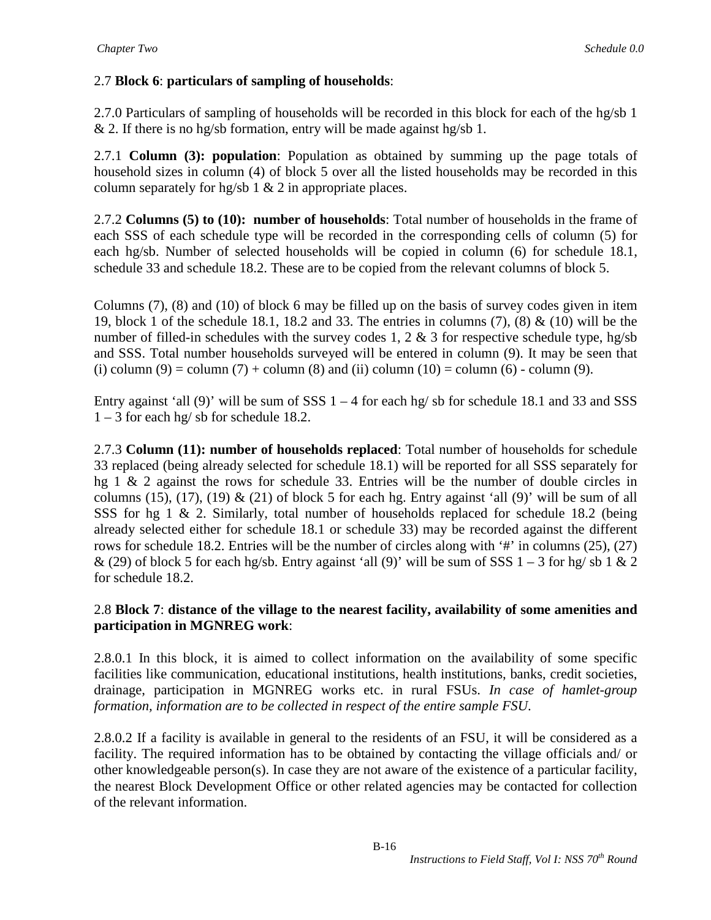# 2.7 **Block 6**: **particulars of sampling of households**:

2.7.0 Particulars of sampling of households will be recorded in this block for each of the hg/sb 1  $& 2.$  If there is no hg/sb formation, entry will be made against hg/sb 1.

2.7.1 **Column (3): population**: Population as obtained by summing up the page totals of household sizes in column (4) of block 5 over all the listed households may be recorded in this column separately for hg/sb  $1 \& 2$  in appropriate places.

2.7.2 **Columns (5) to (10): number of households**: Total number of households in the frame of each SSS of each schedule type will be recorded in the corresponding cells of column (5) for each hg/sb. Number of selected households will be copied in column (6) for schedule 18.1, schedule 33 and schedule 18.2. These are to be copied from the relevant columns of block 5.

Columns (7), (8) and (10) of block 6 may be filled up on the basis of survey codes given in item 19, block 1 of the schedule 18.1, 18.2 and 33. The entries in columns (7), (8) & (10) will be the number of filled-in schedules with the survey codes 1, 2  $\&$  3 for respective schedule type, hg/sb and SSS. Total number households surveyed will be entered in column (9). It may be seen that (i) column  $(9)$  = column  $(7)$  + column  $(8)$  and (ii) column  $(10)$  = column  $(6)$  - column  $(9)$ .

Entry against 'all (9)' will be sum of SSS  $1 - 4$  for each hg/sb for schedule 18.1 and 33 and SSS 1 – 3 for each hg/ sb for schedule 18.2.

2.7.3 **Column (11): number of households replaced**: Total number of households for schedule 33 replaced (being already selected for schedule 18.1) will be reported for all SSS separately for hg 1 & 2 against the rows for schedule 33. Entries will be the number of double circles in columns (15), (17), (19)  $&$  (21) of block 5 for each hg. Entry against 'all (9)' will be sum of all SSS for hg 1 & 2. Similarly, total number of households replaced for schedule 18.2 (being already selected either for schedule 18.1 or schedule 33) may be recorded against the different rows for schedule 18.2. Entries will be the number of circles along with '#' in columns (25), (27) & (29) of block 5 for each hg/sb. Entry against 'all (9)' will be sum of SSS  $1 - 3$  for hg/sb  $1 \& 2$ for schedule 18.2.

### 2.8 **Block 7**: **distance of the village to the nearest facility, availability of some amenities and participation in MGNREG work**:

2.8.0.1 In this block, it is aimed to collect information on the availability of some specific facilities like communication, educational institutions, health institutions, banks, credit societies, drainage, participation in MGNREG works etc. in rural FSUs. *In case of hamlet-group formation, information are to be collected in respect of the entire sample FSU*.

2.8.0.2 If a facility is available in general to the residents of an FSU, it will be considered as a facility. The required information has to be obtained by contacting the village officials and/ or other knowledgeable person(s). In case they are not aware of the existence of a particular facility, the nearest Block Development Office or other related agencies may be contacted for collection of the relevant information.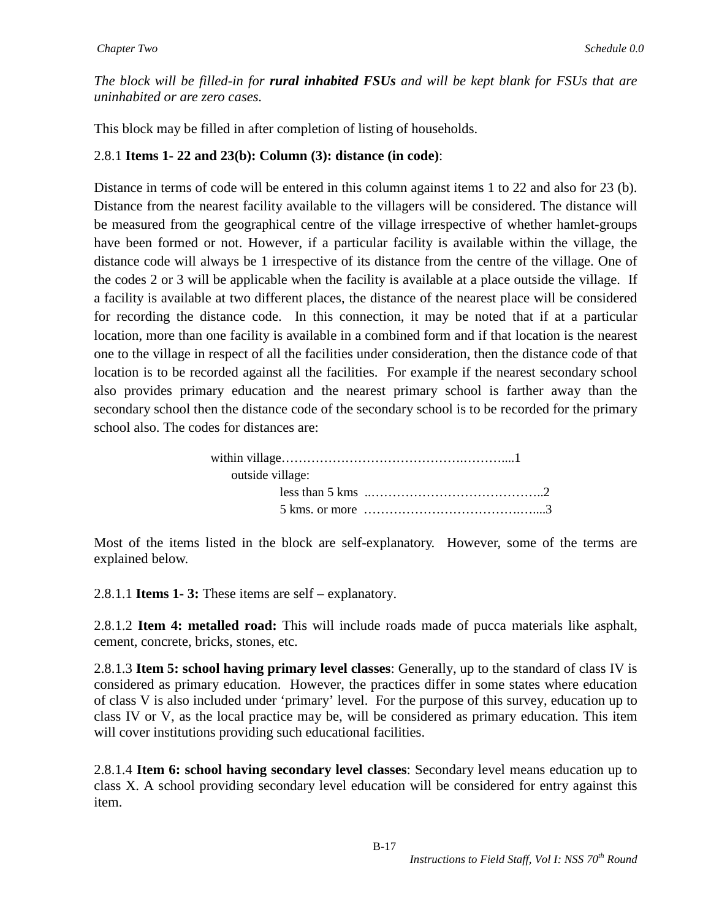*The block will be filled-in for rural inhabited FSUs and will be kept blank for FSUs that are uninhabited or are zero cases.*

This block may be filled in after completion of listing of households.

### 2.8.1 **Items 1- 22 and 23(b): Column (3): distance (in code)**:

Distance in terms of code will be entered in this column against items 1 to 22 and also for 23 (b). Distance from the nearest facility available to the villagers will be considered. The distance will be measured from the geographical centre of the village irrespective of whether hamlet-groups have been formed or not. However, if a particular facility is available within the village, the distance code will always be 1 irrespective of its distance from the centre of the village. One of the codes 2 or 3 will be applicable when the facility is available at a place outside the village. If a facility is available at two different places, the distance of the nearest place will be considered for recording the distance code. In this connection, it may be noted that if at a particular location, more than one facility is available in a combined form and if that location is the nearest one to the village in respect of all the facilities under consideration, then the distance code of that location is to be recorded against all the facilities. For example if the nearest secondary school also provides primary education and the nearest primary school is farther away than the secondary school then the distance code of the secondary school is to be recorded for the primary school also. The codes for distances are:

| outside village: |  |
|------------------|--|
|                  |  |
|                  |  |

Most of the items listed in the block are self-explanatory. However, some of the terms are explained below.

2.8.1.1 **Items 1- 3:** These items are self – explanatory.

2.8.1.2 **Item 4: metalled road:** This will include roads made of pucca materials like asphalt, cement, concrete, bricks, stones, etc.

2.8.1.3 **Item 5: school having primary level classes**: Generally, up to the standard of class IV is considered as primary education. However, the practices differ in some states where education of class V is also included under 'primary' level. For the purpose of this survey, education up to class IV or V, as the local practice may be, will be considered as primary education. This item will cover institutions providing such educational facilities.

2.8.1.4 **Item 6: school having secondary level classes**: Secondary level means education up to class X. A school providing secondary level education will be considered for entry against this item.

B-17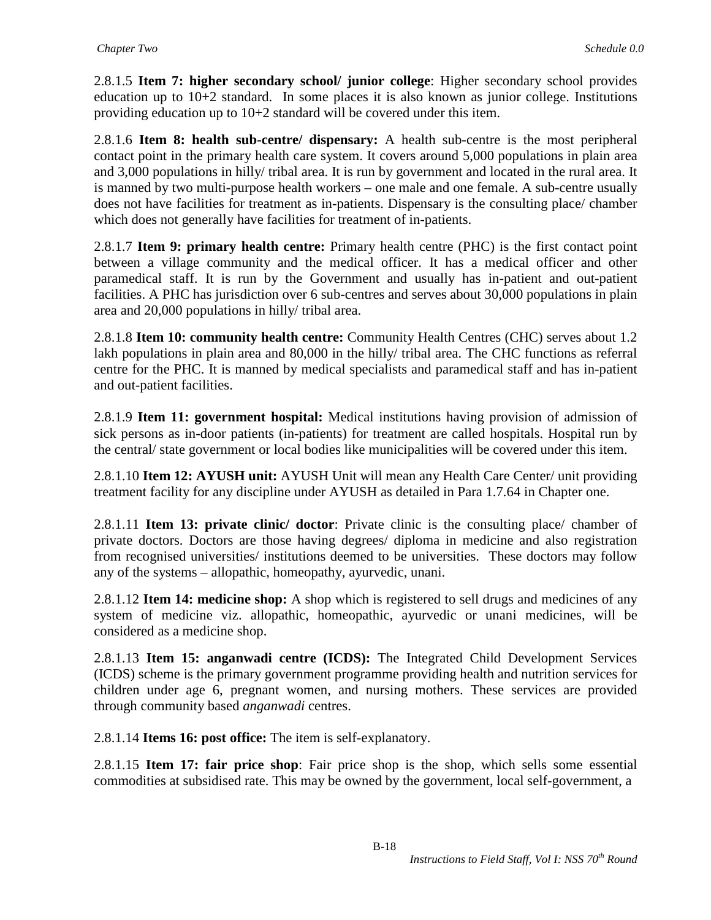2.8.1.5 **Item 7: higher secondary school/ junior college**: Higher secondary school provides education up to  $10+2$  standard. In some places it is also known as junior college. Institutions providing education up to 10+2 standard will be covered under this item.

2.8.1.6 **Item 8: health sub-centre/ dispensary:** A health sub-centre is the most peripheral contact point in the primary health care system. It covers around 5,000 populations in plain area and 3,000 populations in hilly/ tribal area. It is run by government and located in the rural area. It is manned by two multi-purpose health workers – one male and one female. A sub-centre usually does not have facilities for treatment as in-patients. Dispensary is the consulting place/ chamber which does not generally have facilities for treatment of in-patients.

2.8.1.7 **Item 9: primary health centre:** Primary health centre (PHC) is the first contact point between a village community and the medical officer. It has a medical officer and other paramedical staff. It is run by the Government and usually has in-patient and out-patient facilities. A PHC has jurisdiction over 6 sub-centres and serves about 30,000 populations in plain area and 20,000 populations in hilly/ tribal area.

2.8.1.8 **Item 10: community health centre:** Community Health Centres (CHC) serves about 1.2 lakh populations in plain area and 80,000 in the hilly/ tribal area. The CHC functions as referral centre for the PHC. It is manned by medical specialists and paramedical staff and has in-patient and out-patient facilities.

2.8.1.9 **Item 11: government hospital:** Medical institutions having provision of admission of sick persons as in-door patients (in-patients) for treatment are called hospitals. Hospital run by the central/ state government or local bodies like municipalities will be covered under this item.

2.8.1.10 **Item 12: AYUSH unit:** AYUSH Unit will mean any Health Care Center/ unit providing treatment facility for any discipline under AYUSH as detailed in Para 1.7.64 in Chapter one.

2.8.1.11 **Item 13: private clinic/ doctor**: Private clinic is the consulting place/ chamber of private doctors. Doctors are those having degrees/ diploma in medicine and also registration from recognised universities/ institutions deemed to be universities. These doctors may follow any of the systems – allopathic, homeopathy, ayurvedic, unani.

2.8.1.12 **Item 14: medicine shop:** A shop which is registered to sell drugs and medicines of any system of medicine viz. allopathic, homeopathic, ayurvedic or unani medicines, will be considered as a medicine shop.

2.8.1.13 **Item 15: anganwadi centre (ICDS):** The Integrated Child Development Services (ICDS) scheme is the primary government programme providing health and nutrition services for children under age 6, pregnant women, and nursing mothers. These services are provided through community based *anganwadi* centres.

2.8.1.14 **Items 16: post office:** The item is self-explanatory.

2.8.1.15 **Item 17: fair price shop**: Fair price shop is the shop, which sells some essential commodities at subsidised rate. This may be owned by the government, local self-government, a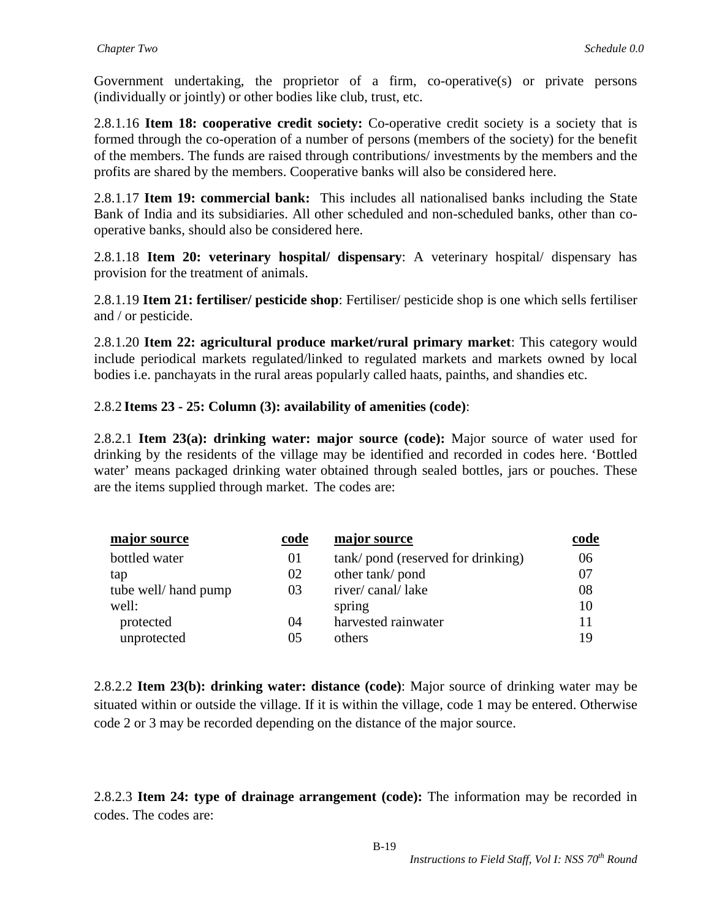Government undertaking, the proprietor of a firm, co-operative(s) or private persons (individually or jointly) or other bodies like club, trust, etc.

2.8.1.16 **Item 18: cooperative credit society:** Co-operative credit society is a society that is formed through the co-operation of a number of persons (members of the society) for the benefit of the members. The funds are raised through contributions/ investments by the members and the profits are shared by the members. Cooperative banks will also be considered here.

2.8.1.17 **Item 19: commercial bank:** This includes all nationalised banks including the State Bank of India and its subsidiaries. All other scheduled and non-scheduled banks, other than cooperative banks, should also be considered here.

2.8.1.18 **Item 20: veterinary hospital/ dispensary**: A veterinary hospital/ dispensary has provision for the treatment of animals.

2.8.1.19 **Item 21: fertiliser/ pesticide shop**: Fertiliser/ pesticide shop is one which sells fertiliser and / or pesticide.

2.8.1.20 **Item 22: agricultural produce market/rural primary market**: This category would include periodical markets regulated/linked to regulated markets and markets owned by local bodies i.e. panchayats in the rural areas popularly called haats, painths, and shandies etc.

### 2.8.2 **Items 23 - 25: Column (3): availability of amenities (code)**:

2.8.2.1 **Item 23(a): drinking water: major source (code):** Major source of water used for drinking by the residents of the village may be identified and recorded in codes here. 'Bottled water' means packaged drinking water obtained through sealed bottles, jars or pouches. These are the items supplied through market. The codes are:

| major source         | code | major source                      | code |
|----------------------|------|-----------------------------------|------|
| bottled water        | 01   | tank/pond (reserved for drinking) | 06   |
| tap                  | 02   | other tank/pond                   | 07   |
| tube well/ hand pump | 03   | river/canal/lake                  | 08   |
| well:                |      | spring                            | 10   |
| protected            | 04   | harvested rainwater               | 11   |
| unprotected          | 05   | others                            | 19   |

2.8.2.2 **Item 23(b): drinking water: distance (code)**: Major source of drinking water may be situated within or outside the village. If it is within the village, code 1 may be entered. Otherwise code 2 or 3 may be recorded depending on the distance of the major source.

2.8.2.3 **Item 24: type of drainage arrangement (code):** The information may be recorded in codes. The codes are: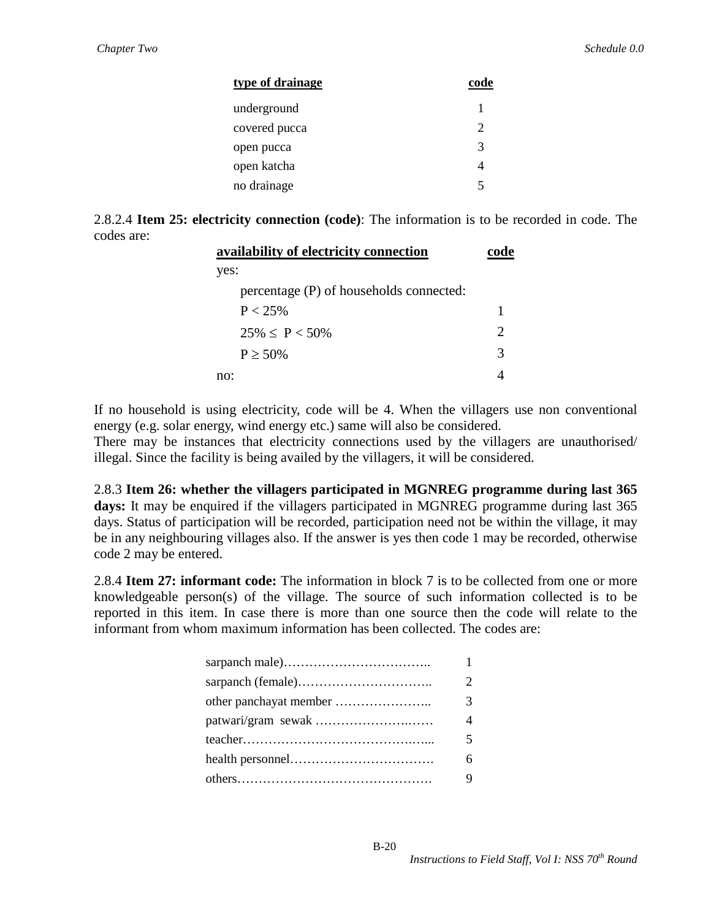| type of drainage | code |
|------------------|------|
| underground      |      |
| covered pucca    |      |
| open pucca       | 3    |
| open katcha      |      |
| no drainage      |      |

2.8.2.4 **Item 25: electricity connection (code)**: The information is to be recorded in code. The codes are:

| availability of electricity connection  | ende |
|-----------------------------------------|------|
| yes:                                    |      |
| percentage (P) of households connected: |      |
| P < 25%                                 |      |
| $25\% < P < 50\%$                       |      |
| $P > 50\%$                              | 3    |
| no:                                     |      |
|                                         |      |

If no household is using electricity, code will be 4. When the villagers use non conventional energy (e.g. solar energy, wind energy etc.) same will also be considered.

There may be instances that electricity connections used by the villagers are unauthorised/ illegal. Since the facility is being availed by the villagers, it will be considered.

2.8.3 **Item 26: whether the villagers participated in MGNREG programme during last 365**  days: It may be enquired if the villagers participated in MGNREG programme during last 365 days. Status of participation will be recorded, participation need not be within the village, it may be in any neighbouring villages also. If the answer is yes then code 1 may be recorded, otherwise code 2 may be entered.

2.8.4 **Item 27: informant code:** The information in block 7 is to be collected from one or more knowledgeable person(s) of the village. The source of such information collected is to be reported in this item. In case there is more than one source then the code will relate to the informant from whom maximum information has been collected. The codes are:

| 1                       |
|-------------------------|
| $\mathcal{D}$           |
| 3                       |
| $\Delta$                |
| $\overline{\mathbf{5}}$ |
| 6                       |
| 9                       |
|                         |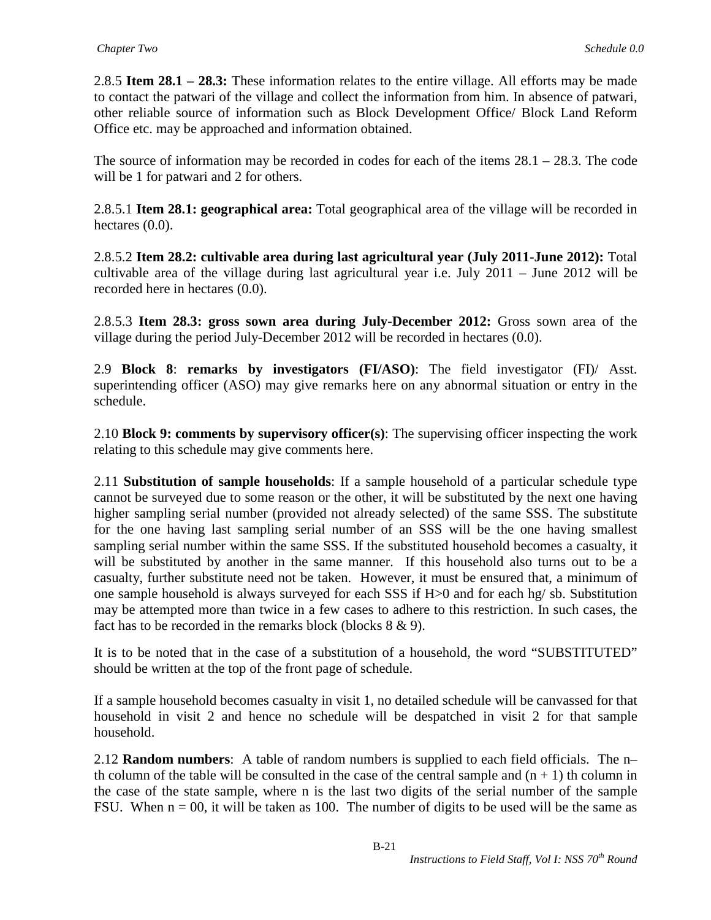2.8.5 **Item 28.1 – 28.3:** These information relates to the entire village. All efforts may be made to contact the patwari of the village and collect the information from him. In absence of patwari, other reliable source of information such as Block Development Office/ Block Land Reform Office etc. may be approached and information obtained.

The source of information may be recorded in codes for each of the items  $28.1 - 28.3$ . The code will be 1 for patwari and 2 for others.

2.8.5.1 **Item 28.1: geographical area:** Total geographical area of the village will be recorded in hectares  $(0.0)$ .

2.8.5.2 **Item 28.2: cultivable area during last agricultural year (July 2011-June 2012):** Total cultivable area of the village during last agricultural year i.e. July 2011 – June 2012 will be recorded here in hectares (0.0).

2.8.5.3 **Item 28.3: gross sown area during July-December 2012:** Gross sown area of the village during the period July-December 2012 will be recorded in hectares (0.0).

2.9 **Block 8**: **remarks by investigators (FI/ASO)**: The field investigator (FI)/ Asst. superintending officer (ASO) may give remarks here on any abnormal situation or entry in the schedule.

2.10 **Block 9: comments by supervisory officer(s)**: The supervising officer inspecting the work relating to this schedule may give comments here.

2.11 **Substitution of sample households**: If a sample household of a particular schedule type cannot be surveyed due to some reason or the other, it will be substituted by the next one having higher sampling serial number (provided not already selected) of the same SSS. The substitute for the one having last sampling serial number of an SSS will be the one having smallest sampling serial number within the same SSS. If the substituted household becomes a casualty, it will be substituted by another in the same manner. If this household also turns out to be a casualty, further substitute need not be taken. However, it must be ensured that, a minimum of one sample household is always surveyed for each SSS if H>0 and for each hg/ sb. Substitution may be attempted more than twice in a few cases to adhere to this restriction. In such cases, the fact has to be recorded in the remarks block (blocks 8 & 9).

It is to be noted that in the case of a substitution of a household, the word "SUBSTITUTED" should be written at the top of the front page of schedule.

If a sample household becomes casualty in visit 1, no detailed schedule will be canvassed for that household in visit 2 and hence no schedule will be despatched in visit 2 for that sample household.

2.12 **Random numbers**: A table of random numbers is supplied to each field officials. The n– th column of the table will be consulted in the case of the central sample and  $(n + 1)$  th column in the case of the state sample, where n is the last two digits of the serial number of the sample FSU. When  $n = 00$ , it will be taken as 100. The number of digits to be used will be the same as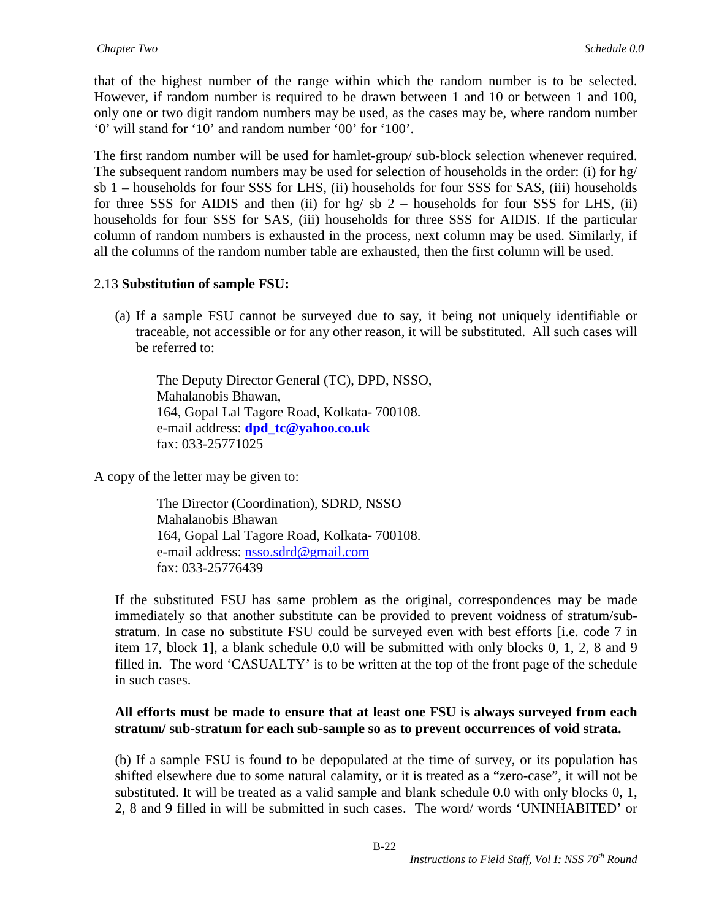that of the highest number of the range within which the random number is to be selected. However, if random number is required to be drawn between 1 and 10 or between 1 and 100, only one or two digit random numbers may be used, as the cases may be, where random number '0' will stand for '10' and random number '00' for '100'.

The first random number will be used for hamlet-group/ sub-block selection whenever required. The subsequent random numbers may be used for selection of households in the order: (i) for hg/ sb 1 – households for four SSS for LHS, (ii) households for four SSS for SAS, (iii) households for three SSS for AIDIS and then (ii) for hg/ sb  $2$  – households for four SSS for LHS, (ii) households for four SSS for SAS, (iii) households for three SSS for AIDIS. If the particular column of random numbers is exhausted in the process, next column may be used. Similarly, if all the columns of the random number table are exhausted, then the first column will be used.

#### 2.13 **Substitution of sample FSU:**

(a) If a sample FSU cannot be surveyed due to say, it being not uniquely identifiable or traceable, not accessible or for any other reason, it will be substituted. All such cases will be referred to:

The Deputy Director General (TC), DPD, NSSO, Mahalanobis Bhawan, 164, Gopal Lal Tagore Road, Kolkata- 700108. e-mail address: **[dpd\\_tc@yahoo.co.uk](mailto:dpd_tc@yahoo.co.uk)** fax: 033-25771025

A copy of the letter may be given to:

 The Director (Coordination), SDRD, NSSO Mahalanobis Bhawan 164, Gopal Lal Tagore Road, Kolkata- 700108. e-mail address: [nsso.sdrd@gmail.com](mailto:nsso.sdrd@gmail.com) fax: 033-25776439

If the substituted FSU has same problem as the original, correspondences may be made immediately so that another substitute can be provided to prevent voidness of stratum/substratum. In case no substitute FSU could be surveyed even with best efforts [i.e. code 7 in item 17, block 1], a blank schedule 0.0 will be submitted with only blocks 0, 1, 2, 8 and 9 filled in. The word 'CASUALTY' is to be written at the top of the front page of the schedule in such cases.

#### **All efforts must be made to ensure that at least one FSU is always surveyed from each stratum/ sub-stratum for each sub-sample so as to prevent occurrences of void strata.**

(b) If a sample FSU is found to be depopulated at the time of survey, or its population has shifted elsewhere due to some natural calamity, or it is treated as a "zero-case", it will not be substituted. It will be treated as a valid sample and blank schedule 0.0 with only blocks 0, 1, 2, 8 and 9 filled in will be submitted in such cases. The word/ words 'UNINHABITED' or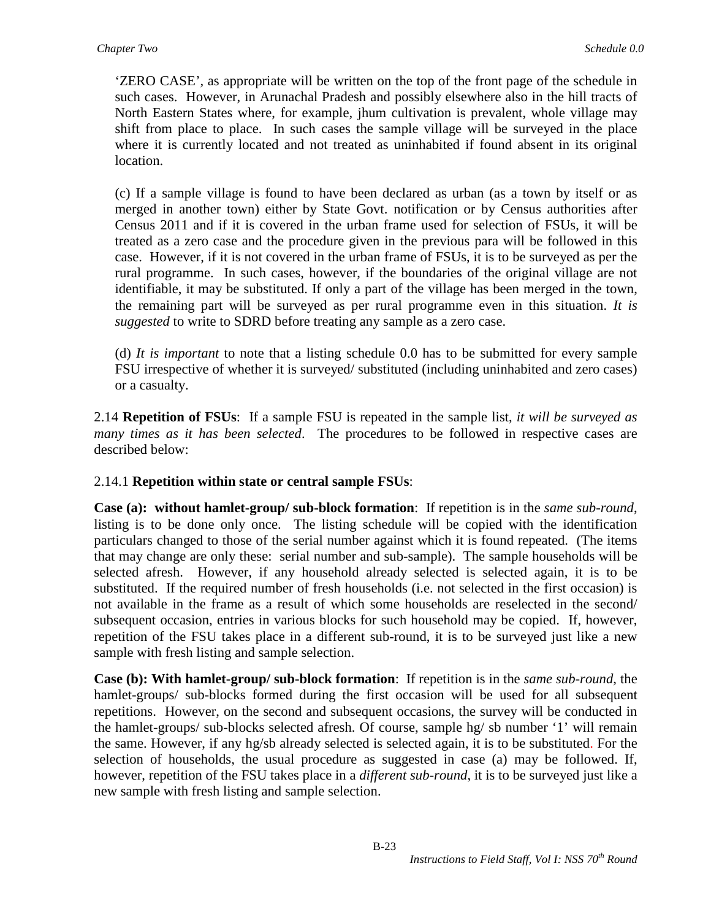'ZERO CASE', as appropriate will be written on the top of the front page of the schedule in such cases. However, in Arunachal Pradesh and possibly elsewhere also in the hill tracts of North Eastern States where, for example, jhum cultivation is prevalent, whole village may shift from place to place. In such cases the sample village will be surveyed in the place where it is currently located and not treated as uninhabited if found absent in its original location.

(c) If a sample village is found to have been declared as urban (as a town by itself or as merged in another town) either by State Govt. notification or by Census authorities after Census 2011 and if it is covered in the urban frame used for selection of FSUs, it will be treated as a zero case and the procedure given in the previous para will be followed in this case. However, if it is not covered in the urban frame of FSUs, it is to be surveyed as per the rural programme. In such cases, however, if the boundaries of the original village are not identifiable, it may be substituted. If only a part of the village has been merged in the town, the remaining part will be surveyed as per rural programme even in this situation. *It is suggested* to write to SDRD before treating any sample as a zero case.

(d) *It is important* to note that a listing schedule 0.0 has to be submitted for every sample FSU irrespective of whether it is surveyed/ substituted (including uninhabited and zero cases) or a casualty.

2.14 **Repetition of FSUs**: If a sample FSU is repeated in the sample list, *it will be surveyed as many times as it has been selected*. The procedures to be followed in respective cases are described below:

#### 2.14.1 **Repetition within state or central sample FSUs**:

**Case (a): without hamlet-group/ sub-block formation**: If repetition is in the *same sub-round*, listing is to be done only once. The listing schedule will be copied with the identification particulars changed to those of the serial number against which it is found repeated. (The items that may change are only these: serial number and sub-sample). The sample households will be selected afresh. However, if any household already selected is selected again, it is to be substituted. If the required number of fresh households (i.e. not selected in the first occasion) is not available in the frame as a result of which some households are reselected in the second/ subsequent occasion, entries in various blocks for such household may be copied. If, however, repetition of the FSU takes place in a different sub-round, it is to be surveyed just like a new sample with fresh listing and sample selection.

**Case (b): With hamlet-group/ sub-block formation**: If repetition is in the *same sub-round*, the hamlet-groups/ sub-blocks formed during the first occasion will be used for all subsequent repetitions. However, on the second and subsequent occasions, the survey will be conducted in the hamlet-groups/ sub-blocks selected afresh. Of course, sample hg/ sb number '1' will remain the same. However, if any hg/sb already selected is selected again, it is to be substituted. For the selection of households, the usual procedure as suggested in case (a) may be followed. If, however, repetition of the FSU takes place in a *different sub-round*, it is to be surveyed just like a new sample with fresh listing and sample selection.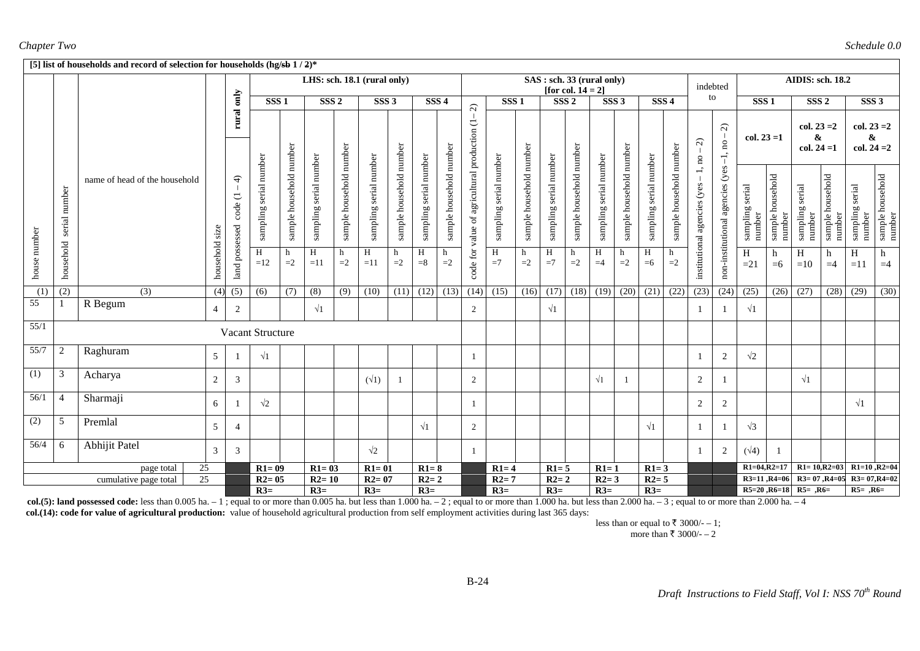#### *Chapter Two Schedule 0.0*

|                  |                  | [5] list of households and record of selection for households (hg/sb $1/2$ )* |                 |                          |                        |                         |                             |                         |                           |                         |                        |                         |                                               |                        |                         |                        |                                                    |                        |                         |                           |                         |                                |                                       |                           |                            |                                     |                            |                                     |                            |
|------------------|------------------|-------------------------------------------------------------------------------|-----------------|--------------------------|------------------------|-------------------------|-----------------------------|-------------------------|---------------------------|-------------------------|------------------------|-------------------------|-----------------------------------------------|------------------------|-------------------------|------------------------|----------------------------------------------------|------------------------|-------------------------|---------------------------|-------------------------|--------------------------------|---------------------------------------|---------------------------|----------------------------|-------------------------------------|----------------------------|-------------------------------------|----------------------------|
|                  |                  |                                                                               |                 |                          |                        |                         | LHS: sch. 18.1 (rural only) |                         |                           |                         |                        |                         |                                               |                        |                         |                        | SAS : sch. 33 (rural only)<br>[for col. $14 = 2$ ] |                        |                         |                           |                         |                                | indebted                              |                           |                            | <b>AIDIS: sch. 18.2</b>             |                            |                                     |                            |
|                  |                  |                                                                               |                 | rural only               | SSS <sub>1</sub>       |                         | SSS <sub>2</sub>            |                         | $SSS$ 3                   |                         | SSS <sub>4</sub>       |                         | $\widehat{\sim}$                              | SSS <sub>1</sub>       |                         | SSS <sub>2</sub>       |                                                    | SSS <sub>3</sub>       |                         | SSS <sub>4</sub>          |                         |                                | to                                    | SSS <sub>1</sub>          |                            | SSS <sub>2</sub>                    |                            | SSS <sub>3</sub>                    |                            |
|                  |                  |                                                                               |                 |                          |                        |                         |                             |                         |                           |                         |                        |                         |                                               |                        |                         |                        |                                                    |                        |                         |                           |                         | $\widehat{z}$<br>1, no         | $\widehat{\mathcal{L}}$<br>$-1$ , no. | $col. 23 = 1$             |                            | $col. 23 = 2$<br>&<br>$col. 24 = 1$ |                            | $col. 23 = 2$<br>&<br>$col. 24 = 2$ |                            |
|                  | number<br>serial | name of head of the household                                                 |                 | $\widehat{+}$<br>code(1) | sampling serial number | sample household number | sampling serial number      | sample household number | serial number<br>sampling | sample household number | sampling serial number | sample household number | code for value of agricultural production (1- | sampling serial number | sample household number | sampling serial number | sample household number                            | sampling serial number | sample household number | serial number<br>sampling | sample household number | (yes<br>institutional agencies | non-institutional agencies (yes       | sampling serial<br>number | sample household<br>number | sampling serial<br>number           | sample household<br>number | serial<br>sampling<br>number        | sample household<br>number |
| house number     | household        |                                                                               | household size  | land possessed           | H<br>$=12$             | h<br>$=2$               | H<br>$=11$                  | h<br>$=2$               | H<br>$=11$                | h<br>$=2$               | H<br>$=8$              | h<br>$=2$               |                                               | $\,$ H<br>$=7$         | h<br>$=2$               | H<br>$=7$              | h<br>$=2$                                          | H<br>$=4$              | h<br>$=2$               | H<br>$=6$                 | $=2$                    |                                |                                       | H<br>$=21$                | h<br>$=6$                  | H<br>$=10$                          | h<br>$=4$                  | H<br>$=11$                          | h<br>$=4$                  |
| $\overline{(1)}$ | (2)              | $\overline{(3)}$                                                              | (4)             | (5)                      | $\overline{(6)}$       | (7)                     | (8)                         | (9)                     | (10)                      | (11)                    | $(12)$ $(13)$          |                         |                                               | $(14)$ $(15)$          | (16)                    | (17)                   | (18)                                               | (19)                   | (20)                    | (21)                      | (22)                    | (23)                           | (24)                                  | (25)                      | (26)                       | (27)                                | (28)                       | (29)                                | (30)                       |
| 55               |                  | R Begum                                                                       | $\overline{4}$  | 2                        |                        |                         | $\sqrt{1}$                  |                         |                           |                         |                        |                         | $\overline{2}$                                |                        |                         | $\sqrt{1}$             |                                                    |                        |                         |                           |                         |                                |                                       | $\sqrt{1}$                |                            |                                     |                            |                                     |                            |
| 55/1             |                  |                                                                               |                 |                          | Vacant Structure       |                         |                             |                         |                           |                         |                        |                         |                                               |                        |                         |                        |                                                    |                        |                         |                           |                         |                                |                                       |                           |                            |                                     |                            |                                     |                            |
| 55/7             | 2                | Raghuram                                                                      | 5 <sup>5</sup>  |                          | $\sqrt{1}$             |                         |                             |                         |                           |                         |                        |                         | 1                                             |                        |                         |                        |                                                    |                        |                         |                           |                         | -1                             | 2                                     | $\sqrt{2}$                |                            |                                     |                            |                                     |                            |
| $\overline{(1)}$ | 3                | Acharya                                                                       | 2               | 3                        |                        |                         |                             |                         | $(\sqrt{1})$              |                         |                        |                         | $\overline{2}$                                |                        |                         |                        |                                                    | $\sqrt{1}$             |                         |                           |                         | 2                              |                                       |                           |                            | $\sqrt{1}$                          |                            |                                     |                            |
| 56/1             | $\overline{4}$   | Sharmaji                                                                      | 6               |                          | $\sqrt{2}$             |                         |                             |                         |                           |                         |                        |                         | -1                                            |                        |                         |                        |                                                    |                        |                         |                           |                         | $\overline{2}$                 | 2                                     |                           |                            |                                     |                            | $\sqrt{1}$                          |                            |
| (2)              | 5                | Premlal                                                                       | $5\overline{)}$ | $\overline{4}$           |                        |                         |                             |                         |                           |                         | $\sqrt{1}$             |                         | $\overline{2}$                                |                        |                         |                        |                                                    |                        |                         | $\sqrt{1}$                |                         | -1                             |                                       | $\sqrt{3}$                |                            |                                     |                            |                                     |                            |
| 56/4             | 6                | <b>Abhijit Patel</b>                                                          | $\mathfrak{Z}$  | 3                        |                        |                         |                             |                         | $\sqrt{2}$                |                         |                        |                         | 1                                             |                        |                         |                        |                                                    |                        |                         |                           |                         | - 1                            | 2                                     | $(\sqrt{4})$              |                            |                                     |                            |                                     |                            |
|                  |                  | 25<br>page total                                                              |                 |                          | $R1=09$                |                         | $R1 = 03$                   |                         | $R1 = 01$                 |                         | $R1=8$                 |                         |                                               | $R1=4$                 |                         | $R1 = 5$               |                                                    | $R1=1$                 |                         | $R1=3$                    |                         |                                |                                       | $R1=04, R2=17$            |                            |                                     | $R1 = 10, R2 = 03$         | $R1=10, R2=04$                      |                            |
|                  |                  | 25<br>cumulative page total                                                   |                 |                          | $R2=05$                |                         | $R2=10$                     |                         | $R2=07$                   |                         | $R2=2$                 |                         |                                               | $R2=7$                 |                         | $R2=2$                 |                                                    | $R2=3$                 |                         | $R2=5$                    |                         |                                |                                       | $R3=11, R4=06$            |                            |                                     | $R3=07, R4=05$             | $R3 = 07, R4 = 02$                  |                            |
|                  |                  |                                                                               |                 |                          | $R3=$                  |                         | $R3=$                       |                         | $R3=$                     |                         | $R3=$                  |                         |                                               | $R3=$                  |                         | $R3=$                  |                                                    | $R3=$                  |                         | $R3=$                     |                         |                                |                                       |                           |                            | $R5=20, R6=18$ $R5=$ , $R6=$        |                            | $R5 = .R6=$                         |                            |

**col.(5): land possessed code:** less than 0.005 ha.  $-1$ ; equal to or more than 0.005 ha. but less than 1.000 ha.  $-2$ ; equal to or more than 1.000 ha. but less than 2.000 ha. but less than 2.000 ha.  $-3$ ; equal to or mor

 **col.(14): code for value of agricultural production:** value of household agricultural production from self employment activities during last 365 days:

less than or equal to  $\bar{\tau}$  3000/- - 1; more than  $\bar{x}$  3000/- – 2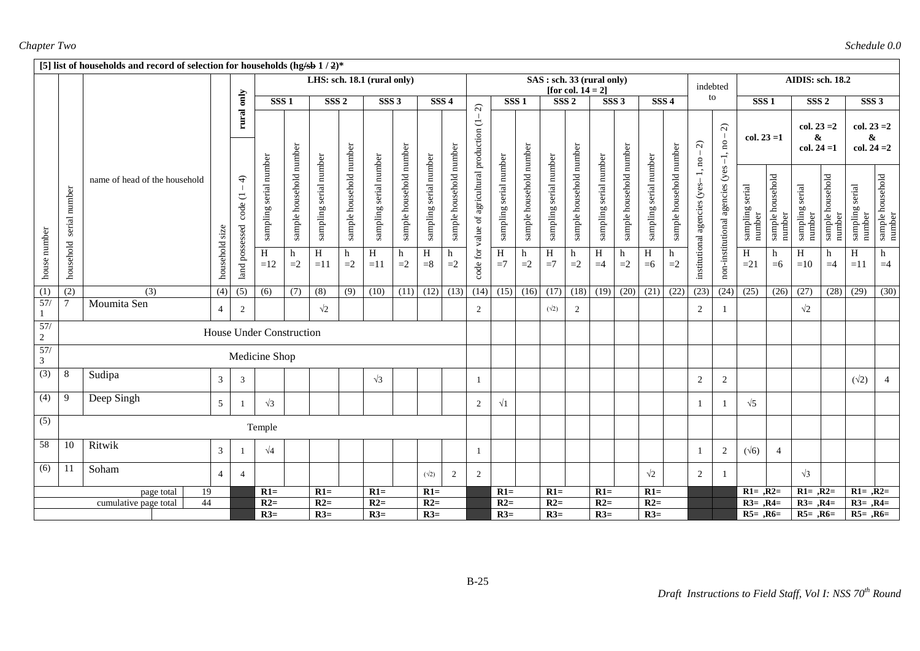|                       |               | [5] list of households and record of selection for households (hg/sb $1/2$ )* |                  |                            |                          |                         |                        |                         |                             |                         |                        |                         |                                               |                        |                         |                                   |                         |                        |                         |                        |                         |                                   |                                      |                           |                            |                                     |                                 |                                     |                            |
|-----------------------|---------------|-------------------------------------------------------------------------------|------------------|----------------------------|--------------------------|-------------------------|------------------------|-------------------------|-----------------------------|-------------------------|------------------------|-------------------------|-----------------------------------------------|------------------------|-------------------------|-----------------------------------|-------------------------|------------------------|-------------------------|------------------------|-------------------------|-----------------------------------|--------------------------------------|---------------------------|----------------------------|-------------------------------------|---------------------------------|-------------------------------------|----------------------------|
|                       |               |                                                                               |                  |                            |                          |                         |                        |                         | LHS: sch. 18.1 (rural only) |                         |                        |                         |                                               |                        |                         | SAS : sch. 33 (rural only)        | [for col. $14 = 2$ ]    |                        |                         |                        |                         | indebted                          |                                      |                           |                            | <b>AIDIS: sch. 18.2</b>             |                                 |                                     |                            |
|                       |               |                                                                               |                  |                            | SSS1                     |                         | SSS <sub>2</sub>       |                         | $SSS$ 3                     |                         |                        | SSS <sub>4</sub>        | $\widehat{\sim}$                              |                        | SSS1                    |                                   | SSS <sub>2</sub>        |                        | SSS3                    |                        | SSS <sub>4</sub>        |                                   | to                                   | SSS1                      |                            | SSS <sub>2</sub>                    |                                 | SSS <sub>3</sub>                    |                            |
|                       |               |                                                                               |                  | rural only                 |                          |                         |                        |                         |                             |                         |                        |                         |                                               |                        |                         |                                   |                         |                        |                         |                        |                         | $\widehat{\mathcal{L}}$           | $\widehat{\mathcal{C}}$<br>$-1$ , no | $col. 23 = 1$             |                            | $col. 23 = 2$<br>&<br>$col. 24 = 1$ |                                 | $col. 23 = 2$<br>&<br>$col. 24 = 2$ |                            |
|                       | serial number | name of head of the household                                                 |                  | $\triangleleft$<br>code (1 | sampling serial number   | sample household number | sampling serial number | sample household number | sampling serial number      | sample household number | sampling serial number | sample household number | code for value of agricultural production (1- | sampling serial number | sample household number | sampling serial number            | sample household number | sampling serial number | sample household number | sampling serial number | sample household number | institutional agencies (yes-1, no | non-institutional agencies (yes      | sampling serial<br>number | sample household<br>number | sampling serial<br>number           | household<br>sample J<br>number | serial<br>sampling<br>number        | sample household<br>number |
| house number          | household     |                                                                               | household size   | land possessed             | H<br>$=12$               | h<br>$=2$               | $\, {\rm H}$<br>$=11$  | h<br>$=2$               | H<br>$=11$                  | h<br>$=2$               | $\, {\rm H}$<br>$= 8$  | h<br>$=2$               |                                               | H<br>$=7$              | h<br>$=2$               | $\boldsymbol{\mathrm{H}}$<br>$=7$ | h<br>$=2$               | H<br>$=4$              | h<br>$=2$               | $\, {\rm H}$<br>$=6$   | h<br>$=2$               |                                   |                                      | H<br>$=21$                | h<br>$=6$                  | H<br>$=10$                          | h<br>$=4$                       | H<br>$=11$                          | h<br>$=4$                  |
| (1)                   | (2)           | (3)                                                                           | $\overline{(4)}$ | $\overline{(5)}$           | (6)                      | (7)                     | $\overline{(8)}$       | $\overline{(9)}$        | (10)                        | (11)                    | (12)                   | (13)                    | (14)                                          | (15)                   | (16)                    | (17)                              | (18)                    | (19)                   | (20)                    | (21)                   | (22)                    | (23)                              | (24)                                 | (25)                      | (26)                       | (27)                                | (28)                            | (29)                                | (30)                       |
| 57/                   |               | Moumita Sen                                                                   | $\overline{4}$   | 2                          |                          |                         | $\sqrt{2}$             |                         |                             |                         |                        |                         | 2                                             |                        |                         | $(\sqrt{2})$                      | 2                       |                        |                         |                        |                         | 2                                 |                                      |                           |                            | $\sqrt{2}$                          |                                 |                                     |                            |
| 57/<br>$\overline{2}$ |               |                                                                               |                  |                            | House Under Construction |                         |                        |                         |                             |                         |                        |                         |                                               |                        |                         |                                   |                         |                        |                         |                        |                         |                                   |                                      |                           |                            |                                     |                                 |                                     |                            |
| 57/<br>$\mathfrak{Z}$ |               |                                                                               |                  |                            | Medicine Shop            |                         |                        |                         |                             |                         |                        |                         |                                               |                        |                         |                                   |                         |                        |                         |                        |                         |                                   |                                      |                           |                            |                                     |                                 |                                     |                            |
| (3)                   | 8             | Sudipa                                                                        | $\mathfrak{Z}$   | $\mathfrak{Z}$             |                          |                         |                        |                         | $\sqrt{3}$                  |                         |                        |                         | -1                                            |                        |                         |                                   |                         |                        |                         |                        |                         | 2                                 | $\overline{c}$                       |                           |                            |                                     |                                 | $(\sqrt{2})$                        | $\overline{4}$             |
| (4)                   | 9             | Deep Singh                                                                    | 5 <sup>5</sup>   |                            | $\sqrt{3}$               |                         |                        |                         |                             |                         |                        |                         | $\overline{2}$                                | $\sqrt{1}$             |                         |                                   |                         |                        |                         |                        |                         |                                   |                                      | $\sqrt{5}$                |                            |                                     |                                 |                                     |                            |
| (5)                   |               |                                                                               |                  |                            | Temple                   |                         |                        |                         |                             |                         |                        |                         |                                               |                        |                         |                                   |                         |                        |                         |                        |                         |                                   |                                      |                           |                            |                                     |                                 |                                     |                            |
| 58                    | 10            | Ritwik                                                                        | $\mathfrak{Z}$   |                            | $\sqrt{4}$               |                         |                        |                         |                             |                         |                        |                         | -1                                            |                        |                         |                                   |                         |                        |                         |                        |                         | -1                                | $\overline{2}$                       | $(\sqrt{6})$              | $\overline{4}$             |                                     |                                 |                                     |                            |
| (6)                   | 11            | Soham                                                                         | $\overline{4}$   | $\overline{4}$             |                          |                         |                        |                         |                             |                         | $(\sqrt{2})$           | 2                       | 2                                             |                        |                         |                                   |                         |                        |                         | $\sqrt{2}$             |                         | 2                                 |                                      |                           |                            | $\sqrt{3}$                          |                                 |                                     |                            |
|                       |               | 19<br>page total                                                              |                  |                            | $R1=$                    |                         | $R1=$                  |                         | $R1=$                       |                         | $R1=$                  |                         |                                               | $R1=$                  |                         | $R1=$                             |                         | $R1=$                  |                         | $R1=$                  |                         |                                   |                                      | $R1 = R2=$                |                            | $R1 = , R2 =$                       |                                 | $R1 = , R2 =$                       |                            |
|                       |               | 44<br>cumulative page total                                                   |                  |                            | $R2=$                    |                         | $R2=$                  |                         | $R2=$                       |                         | $R2=$                  |                         |                                               | $R2=$                  |                         | $R2=$                             |                         | $R2=$                  |                         | $R2=$                  |                         |                                   |                                      | $R3=$ , $R4=$             |                            | $R3=$ , $R4=$                       |                                 | $R3=$ , $R4=$                       |                            |
|                       |               |                                                                               |                  |                            | $R3=$                    |                         | $R3=$                  |                         | $R3=$                       |                         | $R3=$                  |                         |                                               | $R3=$                  |                         | $R3=$                             |                         | $R3=$                  |                         | $R3=$                  |                         |                                   |                                      | $R5 = 0.06 =$             |                            | $R5=$ , $R6=$                       |                                 | $R5=$ , $R6=$                       |                            |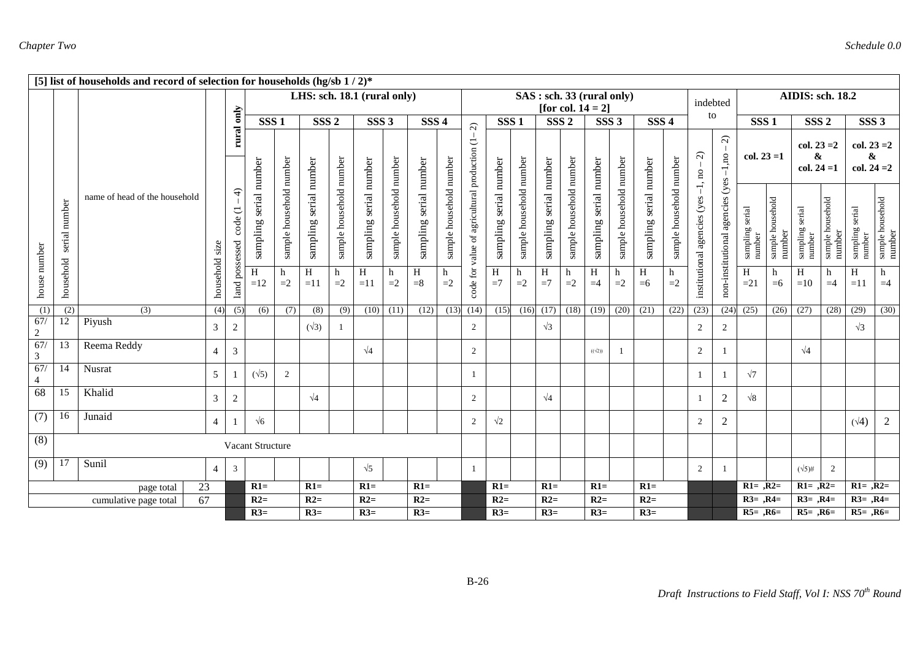|                             |                               | [5] list of households and record of selection for households (hg/sb $1/2$ )* |                |                                                                |                           |                         |                             |                         |                        |                         |                        |                         |                                     |                        |                         |                        |                                                   |                        |                         |                        |                         |                                    |                                     |                           |                            |                                              |                            |                                     |                            |
|-----------------------------|-------------------------------|-------------------------------------------------------------------------------|----------------|----------------------------------------------------------------|---------------------------|-------------------------|-----------------------------|-------------------------|------------------------|-------------------------|------------------------|-------------------------|-------------------------------------|------------------------|-------------------------|------------------------|---------------------------------------------------|------------------------|-------------------------|------------------------|-------------------------|------------------------------------|-------------------------------------|---------------------------|----------------------------|----------------------------------------------|----------------------------|-------------------------------------|----------------------------|
|                             |                               |                                                                               |                |                                                                |                           |                         | LHS: sch. 18.1 (rural only) |                         |                        |                         |                        |                         |                                     |                        |                         |                        | SAS: sch. 33 (rural only)<br>[for col. $14 = 2$ ] |                        |                         |                        |                         | indebted                           |                                     |                           |                            | AIDIS: sch. 18.2                             |                            |                                     |                            |
|                             |                               |                                                                               |                | only                                                           | SSS <sub>1</sub>          |                         | SSS <sub>2</sub>            |                         | SSS <sub>3</sub>       |                         | SSS <sub>4</sub>       |                         | $\widehat{\mathcal{L}}$             | SSS <sub>1</sub>       |                         | SSS <sub>2</sub>       |                                                   | SSS <sub>3</sub>       |                         | SSS <sub>4</sub>       |                         | to                                 |                                     | SSS <sub>1</sub>          |                            | SSS <sub>2</sub>                             |                            | SSS <sub>3</sub>                    |                            |
|                             |                               |                                                                               |                | rural                                                          |                           |                         |                             |                         |                        |                         |                        |                         |                                     |                        |                         |                        |                                                   |                        |                         |                        |                         | $\widehat{\mathcal{L}}$            | $\widehat{\mathcal{L}}$<br>$-1,$ no | $col. 23 = 1$             |                            | $col. 23 = 2$<br>$\pmb{\&}$<br>$col. 24 = 1$ |                            | $col. 23 = 2$<br>&<br>$col. 24 = 2$ |                            |
|                             | number<br>serial              | name of head of the household                                                 |                | $\widehat{+}$<br>$\overline{\phantom{a}}$<br>code<br>possessed | serial number<br>sampling | sample household number | sampling serial number      | sample household number | sampling serial number | sample household number | sampling serial number | sample household number | value of agricultural production (1 | sampling serial number | sample household number | sampling serial number | sample household number                           | sampling serial number | sample household number | sampling serial number | sample household number | institutional agencies (yes -1, no | non-institutional agencies (yes     | sampling serial<br>number | sample household<br>number | sampling serial<br>number                    | sample household<br>number | sampling serial<br>number           | sample household<br>number |
| house number                | household                     |                                                                               | household size | land                                                           | $\overline{H}$<br>$=12$   | h<br>$=2$               | H<br>$=11$                  | h<br>$=2$               | H<br>$=11$             | h<br>$=2$               | $\, {\rm H}$<br>$= 8$  | h<br>$=2$               | code for                            | H<br>$=7$              | h<br>$=2$               | $\, {\rm H}$<br>$=7$   | h<br>$=2$                                         | H<br>$=4$              | h<br>$=2$               | H<br>$=6$              | h<br>$=2$               |                                    |                                     | $\overline{H}$<br>$=21$   | h<br>$=6$                  | H<br>$=10$                                   | h<br>$=4$                  | H<br>$=11$                          | h<br>$=4$                  |
| (1)                         | (2)                           | (3)                                                                           | (4)            | (5)                                                            | (6)                       | (7)                     | (8)                         | (9)                     | (10)                   | (11)                    | (12)                   | (13)                    | (14)                                | (15)                   | (16)                    | (17)                   | (18)                                              | (19)                   | (20)                    | (21)                   | (22)                    | (23)                               |                                     | $(24)$ $(25)$             | (26)                       | (27)                                         | (28)                       | (29)                                | (30)                       |
| 67/<br>2                    | 12                            | Piyush                                                                        | $\mathfrak{Z}$ | 2                                                              |                           |                         | $(\sqrt{3})$                | -1                      |                        |                         |                        |                         | 2                                   |                        |                         | $\sqrt{3}$             |                                                   |                        |                         |                        |                         | 2                                  | 2                                   |                           |                            |                                              |                            | $\sqrt{3}$                          |                            |
| 67/<br>3                    | 13                            | Reema Reddy                                                                   | $\overline{4}$ | 3                                                              |                           |                         |                             |                         | $\sqrt{4}$             |                         |                        |                         | 2                                   |                        |                         |                        |                                                   | $((\sqrt{2}))$         |                         |                        |                         | 2                                  |                                     |                           |                            | $\sqrt{4}$                                   |                            |                                     |                            |
| 67/<br>$\overline{4}$       | 14                            | Nusrat                                                                        | 5              |                                                                | $(\sqrt{5})$              | $\overline{2}$          |                             |                         |                        |                         |                        |                         | 1                                   |                        |                         |                        |                                                   |                        |                         |                        |                         | -1                                 |                                     | $\sqrt{7}$                |                            |                                              |                            |                                     |                            |
| 68                          | 15                            | Khalid                                                                        | 3              | 2                                                              |                           |                         | $\sqrt{4}$                  |                         |                        |                         |                        |                         | $\overline{2}$                      |                        |                         | $\sqrt{4}$             |                                                   |                        |                         |                        |                         |                                    | 2                                   | $\sqrt{8}$                |                            |                                              |                            |                                     |                            |
| (7)                         | 16                            | Junaid                                                                        | $\overline{4}$ |                                                                | $\sqrt{6}$                |                         |                             |                         |                        |                         |                        |                         | 2                                   | $\sqrt{2}$             |                         |                        |                                                   |                        |                         |                        |                         | 2                                  | 2                                   |                           |                            |                                              |                            | $(\sqrt{4})$                        | 2                          |
| (8)                         |                               |                                                                               |                |                                                                | Vacant Structure          |                         |                             |                         |                        |                         |                        |                         |                                     |                        |                         |                        |                                                   |                        |                         |                        |                         |                                    |                                     |                           |                            |                                              |                            |                                     |                            |
| (9)                         | Sunil<br>17<br>$\overline{4}$ |                                                                               |                | $\overline{3}$                                                 |                           |                         |                             |                         | $\sqrt{5}$             |                         |                        |                         | 1                                   |                        |                         |                        |                                                   |                        |                         |                        |                         | $\overline{2}$                     |                                     |                           |                            | $(\sqrt{5})$ #                               | 2                          |                                     |                            |
|                             |                               | 23<br>page total                                                              |                |                                                                | $R1=$                     |                         | $R1=$                       |                         | $R1=$                  |                         | $R1=$                  |                         |                                     | $R1=$                  |                         | $R1=$                  |                                                   | $R1=$                  |                         | $R1=$                  |                         |                                    |                                     | $R1 = , R2 =$             |                            | $R1 = , R2 =$                                |                            | $R1 = , R2 =$                       |                            |
| 67<br>cumulative page total |                               |                                                                               |                |                                                                | $R2=$                     |                         | $R2=$                       |                         | $R2=$                  |                         | $R2=$                  |                         |                                     | $R2=$                  |                         | $R2=$                  |                                                   | $R2=$                  |                         | $R2=$                  |                         |                                    |                                     | $R3=$ , $R4=$             |                            | $R3=$ , $R4=$                                |                            | $R3=$ , $R4=$                       |                            |
|                             |                               |                                                                               |                |                                                                | $R3=$                     |                         | $R3=$                       |                         | $R3=$                  |                         | $R3=$                  |                         |                                     | $R3=$                  |                         | $R3=$                  |                                                   | $R3=$                  |                         | $R3=$                  |                         |                                    |                                     | $R5=$ , $R6=$             |                            | $R5 = .R6 =$                                 |                            | $R5 = .R6=$                         |                            |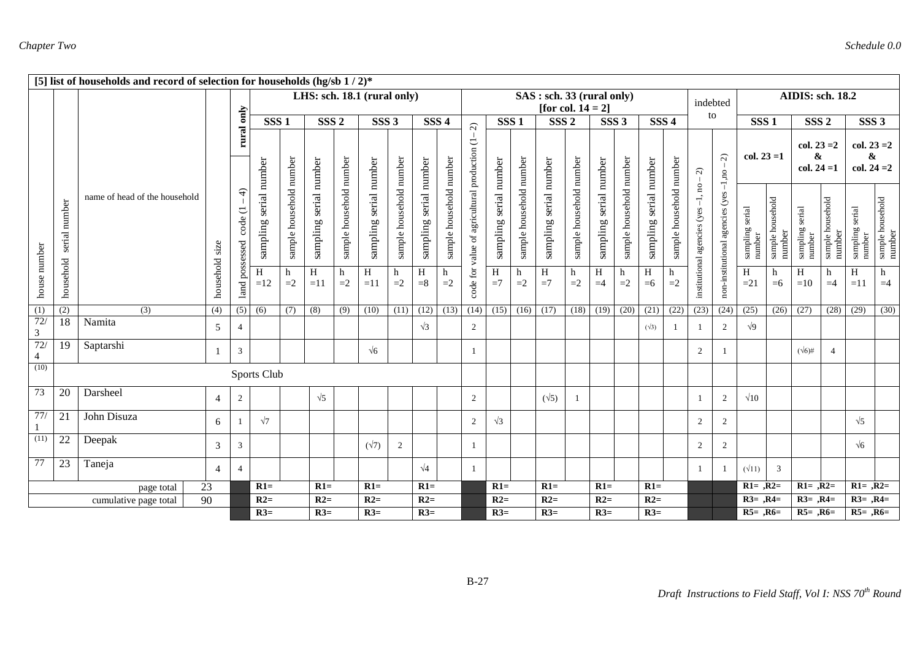|                       |                  | [5] list of households and record of selection for households (hg/sb $1/2$ )* |                |                                         |                        |                         |                        |                         |                             |                         |                        |                         |                                     |                        |                         |                                                   |                         |                        |                         |                        |                         |                                    |                                      |                           |                            |                                     |                            |                                     |                            |
|-----------------------|------------------|-------------------------------------------------------------------------------|----------------|-----------------------------------------|------------------------|-------------------------|------------------------|-------------------------|-----------------------------|-------------------------|------------------------|-------------------------|-------------------------------------|------------------------|-------------------------|---------------------------------------------------|-------------------------|------------------------|-------------------------|------------------------|-------------------------|------------------------------------|--------------------------------------|---------------------------|----------------------------|-------------------------------------|----------------------------|-------------------------------------|----------------------------|
|                       |                  |                                                                               |                |                                         |                        |                         |                        |                         | LHS: sch. 18.1 (rural only) |                         |                        |                         |                                     |                        |                         | SAS: sch. 33 (rural only)<br>[for col. $14 = 2$ ] |                         |                        |                         |                        |                         |                                    | indebted                             |                           |                            | AIDIS: sch. 18.2                    |                            |                                     |                            |
|                       |                  |                                                                               |                |                                         | SSS <sub>1</sub>       |                         | SSS <sub>2</sub>       |                         | SSS <sub>3</sub>            |                         | SSS <sub>4</sub>       |                         | $\widehat{\mathcal{L}}$             | SSS <sub>1</sub>       |                         | SSS <sub>2</sub>                                  |                         | SSS <sub>3</sub>       |                         | SSS <sub>4</sub>       |                         | to                                 |                                      | SSS <sub>1</sub>          |                            | SSS <sub>2</sub>                    |                            | SSS <sub>3</sub>                    |                            |
|                       |                  |                                                                               |                | rural only                              |                        |                         |                        |                         |                             |                         |                        |                         |                                     |                        |                         |                                                   |                         |                        |                         |                        |                         | $\widehat{\sim}$                   | $\widehat{\mathcal{L}}$              | $col. 23 = 1$             |                            | $col. 23 = 2$<br>&<br>$col. 24 = 1$ |                            | $col. 23 = 2$<br>&<br>col. $24 = 2$ |                            |
|                       | number<br>serial | name of head of the household                                                 |                | $\triangleleft$<br>code (1<br>possessed | sampling serial number | sample household number | sampling serial number | sample household number | sampling serial number      | sample household number | sampling serial number | sample household number | value of agricultural production (1 | sampling serial number | sample household number | sampling serial number                            | sample household number | sampling serial number | sample household number | sampling serial number | sample household number | institutional agencies (yes -1, no | non-institutional agencies (yes-1,no | sampling serial<br>number | sample household<br>number | serial<br>sampling :<br>number      | sample household<br>number | sampling serial<br>number           | sample household<br>number |
| house number          | household        |                                                                               | household size | land                                    | H<br>$=12$             | h<br>$=2$               | $\, {\rm H}$<br>$=11$  | h<br>$=2$               | H<br>$=11$                  | h<br>$=2$               | H<br>$= 8$             | h<br>$=2$               | code for                            | H<br>$=7$              | h<br>$=2$               | H<br>$=7$                                         | h<br>$=2$               | H<br>$=4$              | h<br>$\text{=}2$        | H<br>$=6$              | $=2$                    |                                    |                                      | $\, {\rm H}$<br>$=21$     | h<br>$=6$                  | H<br>$=10$                          | h<br>$=4$                  | H<br>$=11$                          | h<br>$=4$                  |
| $\overline{(1)}$      | (2)              | $\overline{(3)}$                                                              | (4)            | (5)                                     | (6)                    | (7)                     | (8)                    | (9)                     | (10)                        | (11)                    | (12)                   | (13)                    | (14)                                | (15)                   | $(16)$ $(17)$           |                                                   | (18)                    | (19)                   | (20)                    | (21)                   | (22)                    | (23)                               | (24)                                 | (25)                      | (26)                       | (27)                                | (28)                       | (29)                                | (30)                       |
| 72/<br>$\mathfrak{Z}$ | $\overline{18}$  | Namita                                                                        | 5              | $\overline{4}$                          |                        |                         |                        |                         |                             |                         | $\sqrt{3}$             |                         | $\overline{2}$                      |                        |                         |                                                   |                         |                        |                         | $(\sqrt{3})$           |                         | -1                                 | 2                                    | $\sqrt{9}$                |                            |                                     |                            |                                     |                            |
| 72/<br>$\overline{4}$ | 19               | Saptarshi                                                                     |                | $\overline{3}$                          |                        |                         |                        |                         | $\sqrt{6}$                  |                         |                        |                         | 1                                   |                        |                         |                                                   |                         |                        |                         |                        |                         | 2                                  |                                      |                           |                            | $(\sqrt{6})$ #                      | $\overline{4}$             |                                     |                            |
| (10)                  |                  |                                                                               |                |                                         | Sports Club            |                         |                        |                         |                             |                         |                        |                         |                                     |                        |                         |                                                   |                         |                        |                         |                        |                         |                                    |                                      |                           |                            |                                     |                            |                                     |                            |
| 73                    | 20               | Darsheel                                                                      | $\overline{4}$ | $\overline{2}$                          |                        |                         | $\sqrt{5}$             |                         |                             |                         |                        |                         | $\overline{2}$                      |                        |                         | $(\sqrt{5})$                                      |                         |                        |                         |                        |                         | -1                                 | 2                                    | $\sqrt{10}$               |                            |                                     |                            |                                     |                            |
| 77/                   | 21               | John Disuza                                                                   | 6              |                                         | $\sqrt{7}$             |                         |                        |                         |                             |                         |                        |                         | 2                                   | $\sqrt{3}$             |                         |                                                   |                         |                        |                         |                        |                         | 2                                  | 2                                    |                           |                            |                                     |                            | $\sqrt{5}$                          |                            |
| (11)                  | 22               | Deepak                                                                        | 3              | 3                                       |                        |                         |                        |                         | $(\sqrt{7})$                | 2                       |                        |                         | 1                                   |                        |                         |                                                   |                         |                        |                         |                        |                         | 2                                  | $\overline{2}$                       |                           |                            |                                     |                            | $\sqrt{6}$                          |                            |
| $\overline{77}$       | 23               | Taneja                                                                        | 4              | $\overline{4}$                          |                        |                         |                        |                         |                             |                         | $\sqrt{4}$             |                         | 1                                   |                        |                         |                                                   |                         |                        |                         |                        |                         | -1                                 |                                      | $(\sqrt{11})$             | 3                          |                                     |                            |                                     |                            |
|                       |                  | page total                                                                    | 23             |                                         | $R1=$                  |                         | $R1=$                  |                         | $R1=$                       |                         | $R1=$                  |                         |                                     | $R1=$                  |                         | $R1=$                                             |                         | $R1=$                  |                         | $R1=$                  |                         |                                    |                                      | $R1 = , R2 =$             |                            | $R1 = R2=$                          |                            | $R1 = .R2 =$                        |                            |
|                       |                  | cumulative page total                                                         | 90             |                                         | $R2=$                  |                         | $R2=$                  |                         | $R2=$                       |                         | $R2=$                  |                         |                                     | $R2=$                  |                         | $R2=$                                             |                         | $R2=$                  |                         | $R2=$                  |                         |                                    |                                      | $R3=$ , $R4=$             |                            | $R3=$ , $R4=$                       |                            | $R3=$ , $R4=$                       |                            |
|                       |                  |                                                                               |                |                                         | $R3=$                  |                         | $R3=$                  |                         | $R3=$                       |                         | $R3=$                  |                         |                                     | $R3=$                  |                         | $R3=$                                             |                         | $R3=$                  |                         | $R3=$                  |                         |                                    |                                      | $R5=$ , $R6=$             |                            | $R5 = .R6 =$                        |                            | $R5 = .R6=$                         |                            |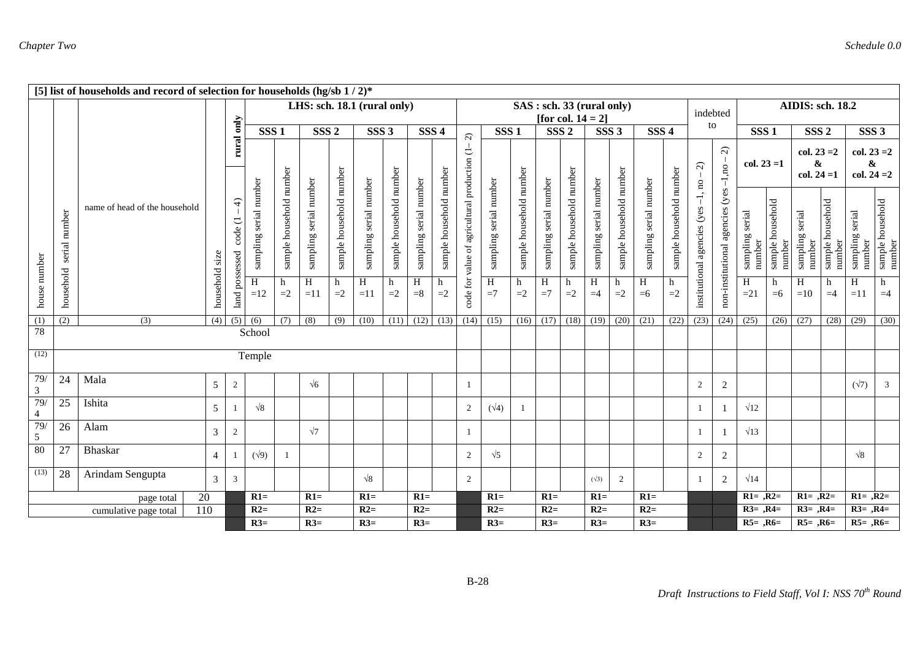|                       |                      | [5] list of households and record of selection for households (hg/sb $1/2$ )* |                |                            |                        |                         |                               |                         |                        |                         |                             |                         |                                     |                        |                         |                        |                                          |                        |                         |                        |                         |                                          |                                 |                           |                            |                           |                            |                           |                            |
|-----------------------|----------------------|-------------------------------------------------------------------------------|----------------|----------------------------|------------------------|-------------------------|-------------------------------|-------------------------|------------------------|-------------------------|-----------------------------|-------------------------|-------------------------------------|------------------------|-------------------------|------------------------|------------------------------------------|------------------------|-------------------------|------------------------|-------------------------|------------------------------------------|---------------------------------|---------------------------|----------------------------|---------------------------|----------------------------|---------------------------|----------------------------|
|                       |                      |                                                                               |                |                            |                        |                         | LHS: sch. $18.1$ (rural only) |                         |                        |                         |                             |                         |                                     |                        |                         |                        | SAS: sch. 33 (rural only)                |                        |                         |                        |                         | indebted                                 |                                 |                           |                            | AIDIS: sch. 18.2          |                            |                           |                            |
|                       |                      |                                                                               |                | rural only                 | SSS <sub>1</sub>       |                         | SSS <sub>2</sub>              |                         | SSS <sub>3</sub>       |                         | SSS <sub>4</sub>            |                         |                                     | SSS <sub>1</sub>       |                         |                        | [for col. $14 = 2$ ]<br>SSS <sub>2</sub> |                        | SSS <sub>3</sub>        | SSS <sub>4</sub>       |                         | to                                       |                                 | SSS <sub>1</sub>          |                            | SSS <sub>2</sub>          |                            | SSS <sub>3</sub>          |                            |
|                       |                      |                                                                               |                |                            |                        |                         |                               |                         |                        |                         |                             |                         | $\widehat{\sim}$                    |                        |                         |                        |                                          |                        |                         |                        |                         |                                          |                                 |                           |                            |                           |                            |                           |                            |
|                       |                      |                                                                               |                |                            |                        |                         |                               |                         |                        |                         |                             |                         |                                     |                        |                         |                        |                                          |                        |                         |                        |                         |                                          | $\widehat{\mathcal{L}}$         |                           |                            | $col. 23 = 2$             |                            | $col. 23 = 2$             |                            |
|                       |                      |                                                                               |                |                            |                        |                         |                               |                         |                        |                         |                             |                         |                                     |                        |                         |                        |                                          |                        |                         |                        |                         | $\widehat{\mathcal{L}}$                  | $-1,$ no                        | $col. 23 = 1$             |                            | &<br>$col. 24 = 1$        |                            | &<br>$col. 24 = 2$        |                            |
|                       | number<br>serial     | name of head of the household                                                 |                | $\widehat{+}$<br>ヒ<br>code | sampling serial number | sample household number | sampling serial number        | sample household number | sampling serial number | sample household number | sampling serial number      | sample household number | value of agricultural production (1 | sampling serial number | sample household number | sampling serial number | sample household number                  | sampling serial number | sample household number | sampling serial number | sample household number | $-1$ , no<br>institutional agencies (yes | non-institutional agencies (yes | sampling serial<br>number | sample household<br>number | sampling serial<br>number | sample household<br>number | sampling serial<br>number | sample household<br>number |
| house number          | household            |                                                                               | household size | land possessed             | H<br>$=12$             | h<br>$=2$               | $\,$ H<br>$=11$               | h<br>$=2$               | H<br>$=11$             | h<br>$=2$               | H<br>$=8$                   | h<br>$=2$               | code for                            | $\overline{H}$<br>$=7$ | h<br>$=2$               | H<br>$=7$              | h<br>$=2$                                | H<br>$=4$              | h<br>$=2$               | $\, {\rm H}$<br>$=6$   | h<br>$=2$               |                                          |                                 | $\overline{H}$<br>$=21$   | h<br>$=6$                  | H<br>$=10$                | h<br>$=4$                  | H<br>$=11$                | h<br>$=4$                  |
| (1)                   | (2)                  | (3)                                                                           | (4)            | (5)                        | (6)                    | (7)                     | $\overline{(8)}$              | (9)                     | (10)                   |                         | $(11)$ $(12)$ $(13)$ $(14)$ |                         |                                     | (15)                   |                         |                        | $(16)$ $(17)$ $(18)$ $(19)$              |                        | (20)                    | (21)                   | (22)                    | (23)                                     | (24)                            | (25)                      | (26)                       | (27)                      | (28)                       | (29)                      | (30)                       |
| 78                    |                      |                                                                               |                |                            | School                 |                         |                               |                         |                        |                         |                             |                         |                                     |                        |                         |                        |                                          |                        |                         |                        |                         |                                          |                                 |                           |                            |                           |                            |                           |                            |
| (12)                  |                      |                                                                               |                |                            | Temple                 |                         |                               |                         |                        |                         |                             |                         |                                     |                        |                         |                        |                                          |                        |                         |                        |                         |                                          |                                 |                           |                            |                           |                            |                           |                            |
| 79/<br>$\mathfrak{Z}$ | 24                   | Mala                                                                          | 5              | $\overline{2}$             |                        |                         | $\sqrt{6}$                    |                         |                        |                         |                             |                         | 1                                   |                        |                         |                        |                                          |                        |                         |                        |                         | $\overline{c}$                           | $\overline{c}$                  |                           |                            |                           |                            | $(\sqrt{7})$              | $\mathfrak{Z}$             |
| 79/<br>4              | 25                   | Ishita                                                                        | 5              |                            | $\sqrt{8}$             |                         |                               |                         |                        |                         |                             |                         | 2                                   | $(\sqrt{4})$           |                         |                        |                                          |                        |                         |                        |                         |                                          | -1                              | $\sqrt{12}$               |                            |                           |                            |                           |                            |
| 79/<br>5              | 26                   | Alam                                                                          | 3              | 2                          |                        |                         | $\sqrt{7}$                    |                         |                        |                         |                             |                         | $\mathbf{1}$                        |                        |                         |                        |                                          |                        |                         |                        |                         |                                          |                                 | $\sqrt{13}$               |                            |                           |                            |                           |                            |
| 80                    | 27<br><b>Bhaskar</b> |                                                                               |                |                            | $(\sqrt{9})$           | -1                      |                               |                         |                        |                         |                             |                         | 2                                   | $\sqrt{5}$             |                         |                        |                                          |                        |                         |                        |                         | $\overline{2}$                           | 2                               |                           |                            |                           |                            | $\sqrt{8}$                |                            |
| (13)                  | 28                   | Arindam Sengupta                                                              | $\mathfrak{Z}$ | 3                          |                        |                         |                               |                         | $\sqrt{8}$             |                         |                             |                         | 2                                   |                        |                         |                        |                                          | $(\sqrt{3})$           | $\overline{2}$          |                        |                         |                                          | 2                               | $\sqrt{14}$               |                            |                           |                            |                           |                            |
|                       |                      | 20<br>page total                                                              |                |                            | $R1=$                  |                         | $R1=$                         |                         | $R1=$                  |                         | $R1=$                       |                         |                                     | $R1=$                  |                         | $R1=$                  |                                          | $R1=$                  |                         | $R1=$                  |                         |                                          |                                 | $R1 = , R2 =$             |                            | $R1 = R2=$                |                            | $R1 = R2=$                |                            |
|                       |                      | $\overline{110}$<br>cumulative page total                                     |                |                            | $R2=$                  |                         | $R2=$                         |                         | $R2=$                  |                         | $R2=$                       |                         |                                     | $R2=$                  |                         | $R2=$                  |                                          | $R2=$                  |                         | $R2=$                  |                         |                                          |                                 | $R3=$ , $R4=$             |                            | $R3=$ , $R4=$             |                            | $R3=$ , $R4=$             |                            |
|                       |                      |                                                                               |                |                            | $R3=$                  |                         | $R3=$                         |                         | $R3=$                  |                         | $R3=$                       |                         |                                     | $R3=$                  |                         | $R3=$                  |                                          | $R3=$                  |                         | $R3=$                  |                         |                                          |                                 | $R5=$ , $R6=$             |                            | $R5 = 0.06 =$             |                            | $R5=$ , $R6=$             |                            |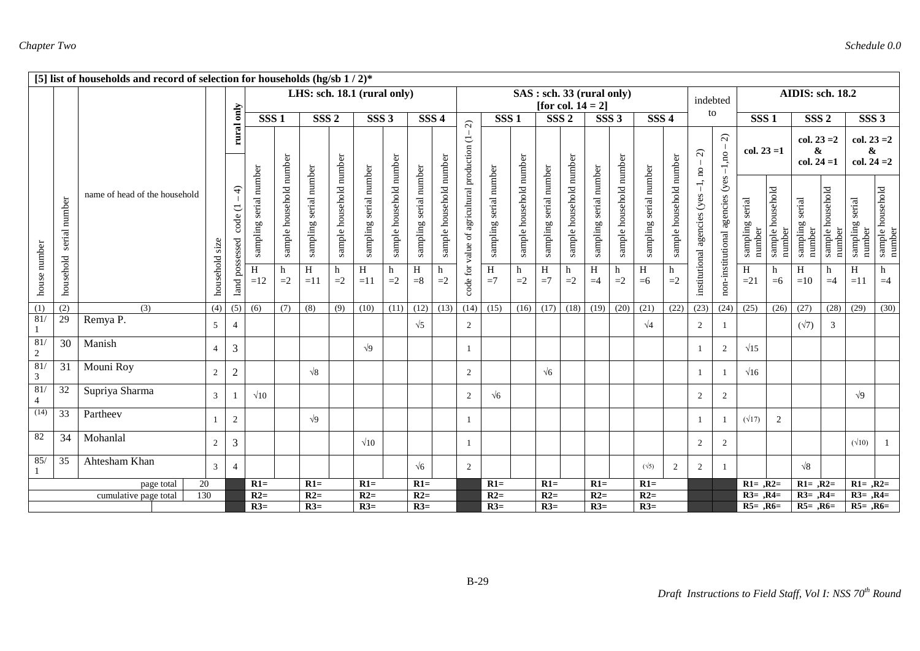|                              |                  | [5] list of households and record of selection for households (hg/sb $1/2$ )* |                |                                       |                        |                         |                             |                         |                        |                         |                        |                         |                                     |                        |                         |                        |                                                   |                        |                         |                        |                         |                                               |                                      |                           |                            |                                     |                            |                                              |                                   |
|------------------------------|------------------|-------------------------------------------------------------------------------|----------------|---------------------------------------|------------------------|-------------------------|-----------------------------|-------------------------|------------------------|-------------------------|------------------------|-------------------------|-------------------------------------|------------------------|-------------------------|------------------------|---------------------------------------------------|------------------------|-------------------------|------------------------|-------------------------|-----------------------------------------------|--------------------------------------|---------------------------|----------------------------|-------------------------------------|----------------------------|----------------------------------------------|-----------------------------------|
|                              |                  |                                                                               |                |                                       |                        |                         | LHS: sch. 18.1 (rural only) |                         |                        |                         |                        |                         |                                     |                        |                         |                        | SAS: sch. 33 (rural only)<br>[for col. $14 = 2$ ] |                        |                         |                        |                         | indebted                                      |                                      |                           |                            | <b>AIDIS: sch. 18.2</b>             |                            |                                              |                                   |
|                              |                  |                                                                               |                | only                                  | SSS <sub>1</sub>       |                         | SSS <sub>2</sub>            |                         | SSS <sub>3</sub>       |                         | SSS <sub>4</sub>       |                         | $\widehat{\mathcal{L}}$             | SSS <sub>1</sub>       |                         | SSS <sub>2</sub>       |                                                   | SSS <sub>3</sub>       |                         | SSS <sub>4</sub>       |                         | to                                            |                                      | SSS <sub>1</sub>          |                            | SSS <sub>2</sub>                    |                            | SSS <sub>3</sub>                             |                                   |
|                              |                  |                                                                               |                | rural                                 |                        |                         |                             |                         |                        |                         |                        |                         |                                     |                        |                         |                        |                                                   |                        |                         |                        |                         | $\widehat{\infty}$<br>$\mathbf{S}$            | $\widehat{\mathcal{L}}$              | $col. 23 = 1$             |                            | $col. 23 = 2$<br>&<br>$col. 24 = 1$ |                            | $col. 23 = 2$<br>$\pmb{\&}$<br>col. $24 = 2$ |                                   |
|                              | number<br>serial | name of head of the household                                                 | size           | $\widehat{+}$<br>code(1)<br>possessed | sampling serial number | sample household number | sampling serial number      | sample household number | sampling serial number | sample household number | sampling serial number | sample household number | value of agricultural production (1 | sampling serial number | sample household number | sampling serial number | sample household number                           | sampling serial number | sample household number | sampling serial number | sample household number | $\overline{1}$<br>institutional agencies (yes | non-institutional agencies (yes-1,no | sampling serial<br>number | sample household<br>number | sampling serial<br>number           | sample household<br>number | sampling serial<br>number                    | sample household<br>number        |
| house number                 | household        |                                                                               | household      | $_{\mbox{\scriptsize{land}}}$         | H<br>$=12$             | h<br>$=2$               | H<br>$=11$                  | h<br>$=2$               | H<br>$=11$             | h<br>$=2$               | $\,$ H<br>$= 8$        | h<br>$=2$               | code for                            | $\, {\rm H}$<br>$=7$   | h<br>$=2$               | H<br>$=7$              | h<br>$=2$                                         | H<br>$=4$              | h<br>$=2$               | H<br>$=6$              | $=2$                    |                                               |                                      | H<br>$=21$                | h<br>$=6$                  | H<br>$=10$                          | h<br>$=4$                  | H<br>$=11$                                   | $\boldsymbol{\textbf{h}}$<br>$=4$ |
| (1)                          | (2)              | (3)                                                                           | (4)            | $\overline{(5)}$                      | (6)                    | (7)                     | (8)                         | (9)                     | (10)                   | (11)                    | (12)                   | (13)                    | (14)                                | (15)                   | (16)                    | (17)                   | (18)                                              | (19)                   | (20)                    | (21)                   | (22)                    | (23)                                          | (24)                                 | (25)                      | (26)                       | (27)                                | (28)                       | (29)                                         | (30)                              |
| 81/<br>$\mathbf{1}$          | 29               | Remya P.                                                                      | 5 <sup>5</sup> | $\overline{4}$                        |                        |                         |                             |                         |                        |                         | $\sqrt{5}$             |                         | 2                                   |                        |                         |                        |                                                   |                        |                         | $\sqrt{4}$             |                         | 2                                             |                                      |                           |                            | $(\sqrt{7})$                        | 3                          |                                              |                                   |
| 81/<br>$\sqrt{2}$            | 30               | Manish                                                                        | $\overline{4}$ | 3                                     |                        |                         |                             |                         | $\sqrt{9}$             |                         |                        |                         |                                     |                        |                         |                        |                                                   |                        |                         |                        |                         |                                               | 2                                    | $\sqrt{15}$               |                            |                                     |                            |                                              |                                   |
| 81/<br>$\overline{3}$        | 31               | Mouni Roy                                                                     | $\overline{c}$ | $\mathbf{2}$                          |                        |                         | $\sqrt{8}$                  |                         |                        |                         |                        |                         | 2                                   |                        |                         | $\sqrt{6}$             |                                                   |                        |                         |                        |                         |                                               |                                      | $\sqrt{16}$               |                            |                                     |                            |                                              |                                   |
| 81/<br>$\overline{4}$        | 32               | Supriya Sharma                                                                | $\mathfrak{Z}$ |                                       | $\sqrt{10}$            |                         |                             |                         |                        |                         |                        |                         | 2                                   | $\sqrt{6}$             |                         |                        |                                                   |                        |                         |                        |                         | 2                                             | 2                                    |                           |                            |                                     |                            | $\sqrt{9}$                                   |                                   |
| (14)                         | 33               | Partheev                                                                      |                | $\overline{c}$                        |                        |                         | $\sqrt{9}$                  |                         |                        |                         |                        |                         |                                     |                        |                         |                        |                                                   |                        |                         |                        |                         |                                               |                                      | $(\sqrt{17})$             | $\sqrt{2}$                 |                                     |                            |                                              |                                   |
| 82                           | 34               | Mohanlal                                                                      | $\overline{c}$ | 3                                     |                        |                         |                             |                         | $\sqrt{10}$            |                         |                        |                         |                                     |                        |                         |                        |                                                   |                        |                         |                        |                         | 2                                             | 2                                    |                           |                            |                                     |                            | $(\sqrt{10})$                                |                                   |
| 85/                          | 35               | Ahtesham Khan                                                                 | 3              | $\overline{4}$                        |                        |                         |                             |                         |                        |                         | $\sqrt{6}$             |                         | 2                                   |                        |                         |                        |                                                   |                        |                         | $(\sqrt{5})$           | 2                       | 2                                             | -1                                   |                           |                            | $\sqrt{8}$                          |                            |                                              |                                   |
|                              | 20<br>page total |                                                                               |                |                                       | $R1=$                  |                         | $R1=$                       |                         | $R1=$                  |                         | $R1=$                  |                         |                                     | $R1=$                  |                         | $R1=$                  |                                                   | $R1=$                  |                         | $R1=$                  |                         |                                               |                                      | $R1 = R2=$                |                            | $R1 = R2=$                          |                            | $R1 = .R2 =$                                 |                                   |
| 130<br>cumulative page total |                  |                                                                               |                |                                       | $R2=$                  |                         | $R2=$                       |                         | $R2=$                  |                         | $R2=$                  |                         |                                     | $R2=$                  |                         | $R2=$                  |                                                   | $R2=$                  |                         | $R2=$                  |                         |                                               |                                      | $R3 = , R4 =$             |                            | $R3 = 0.1R4 =$                      |                            | $R3=$ , $R4=$                                |                                   |
|                              |                  |                                                                               |                |                                       | $R3=$                  |                         | $R3=$                       |                         | $R3=$                  |                         | $R3=$                  |                         |                                     | $R3=$                  |                         | $R3=$                  |                                                   | $R3=$                  |                         | $R3=$                  |                         |                                               |                                      | $R5=$ , $R6=$             |                            | $R5=$ , $R6=$                       |                            | $R5 = 0.06 =$                                |                                   |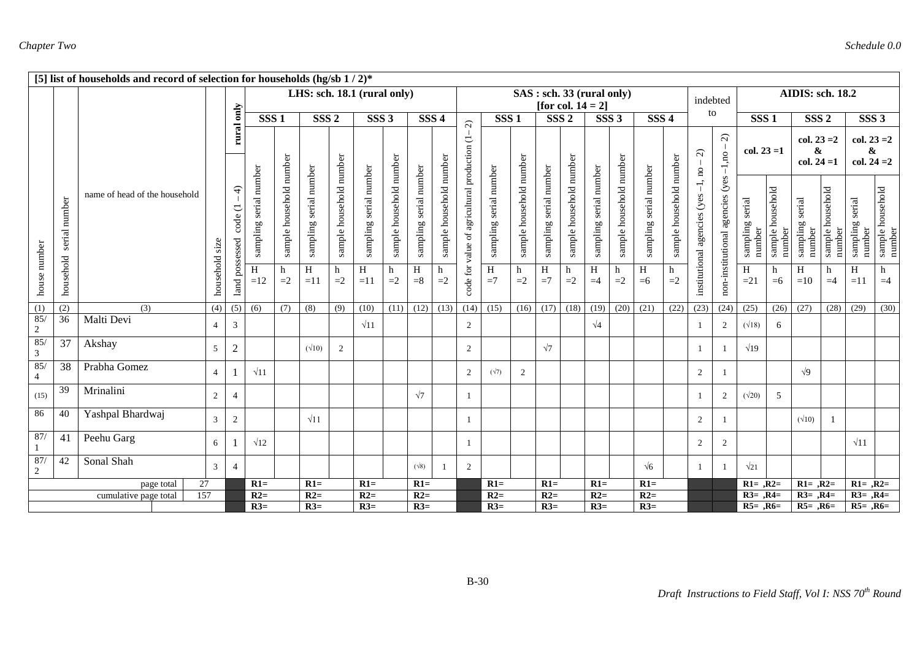|                       |                              | [5] list of households and record of selection for households (hg/sb $1/2$ )* |                |                                         |                        |                         |                             |                         |                        |                         |                        |                         |                                     |                        |                         |                        |                                                   |                        |                         |                        |                         |                                          |                                 |                           |                            |                                     |                            |                                     |                            |
|-----------------------|------------------------------|-------------------------------------------------------------------------------|----------------|-----------------------------------------|------------------------|-------------------------|-----------------------------|-------------------------|------------------------|-------------------------|------------------------|-------------------------|-------------------------------------|------------------------|-------------------------|------------------------|---------------------------------------------------|------------------------|-------------------------|------------------------|-------------------------|------------------------------------------|---------------------------------|---------------------------|----------------------------|-------------------------------------|----------------------------|-------------------------------------|----------------------------|
|                       |                              |                                                                               |                |                                         |                        |                         | LHS: sch. 18.1 (rural only) |                         |                        |                         |                        |                         |                                     |                        |                         |                        | SAS: sch. 33 (rural only)<br>[for col. $14 = 2$ ] |                        |                         |                        |                         | indebted                                 |                                 |                           |                            | AIDIS: sch. 18.2                    |                            |                                     |                            |
|                       |                              |                                                                               |                | only                                    | SSS <sub>1</sub>       |                         | SSS <sub>2</sub>            |                         | SSS <sub>3</sub>       |                         | SSS <sub>4</sub>       |                         | $\widehat{\Omega}$                  | SSS <sub>1</sub>       |                         | SSS <sub>2</sub>       |                                                   | SSS <sub>3</sub>       |                         | SSS <sub>4</sub>       |                         | to                                       |                                 | SSS <sub>1</sub>          |                            | SSS <sub>2</sub>                    |                            | SSS <sub>3</sub>                    |                            |
|                       |                              |                                                                               |                | rural                                   |                        |                         |                             |                         |                        |                         |                        |                         |                                     |                        |                         |                        |                                                   |                        |                         |                        |                         | $\widehat{\mathcal{L}}$                  | $\widehat{\Omega}$<br>$-1, no$  | $col. 23 = 1$             |                            | $col. 23 = 2$<br>&<br>$col. 24 = 1$ |                            | $col. 23 = 2$<br>&<br>col. $24 = 2$ |                            |
|                       | number<br>serial             | name of head of the household                                                 |                | $\widehat{+}$<br>∪<br>code<br>possessed | sampling serial number | sample household number | sampling serial number      | sample household number | sampling serial number | sample household number | sampling serial number | sample household number | value of agricultural production (1 | sampling serial number | sample household number | sampling serial number | sample household number                           | sampling serial number | sample household number | sampling serial number | sample household number | $-1$ , no<br>institutional agencies (yes | non-institutional agencies (yes | sampling serial<br>number | sample household<br>number | sampling serial<br>number           | sample household<br>number | sampling serial<br>number           | sample household<br>number |
| house number          | household                    |                                                                               | household size | $_{\mbox{\scriptsize{land}}}$           | H<br>$=12$             | h<br>$=2$               | H<br>$=11$                  | h<br>$=2$               | H<br>$=11$             | h<br>$=2$               | $\, {\rm H}$<br>$= 8$  | h<br>$=2$               | code for                            | $\, {\rm H}$<br>$=7$   | h<br>$=2$               | $\,$ H<br>$=7$         | h<br>$=2$                                         | H<br>$=4$              | h<br>$=2$               | H<br>$=6$              | h<br>$=2$               |                                          |                                 | H<br>$=21$                | h<br>$=6$                  | H<br>$=10$                          | h<br>$=4$                  | H<br>$=11$                          | h<br>$=4$                  |
| (1)                   | (2)                          | (3)                                                                           | (4)            | $\overline{(5)}$                        | (6)                    | (7)                     | (8)                         | (9)                     | (10)                   | (11)                    | (12)                   | (13)                    | (14)                                | (15)                   | (16)                    | (17)                   | (18)                                              | (19)                   | (20)                    | (21)                   | (22)                    | (23)                                     | (24)                            | (25)                      | (26)                       | (27)                                | (28)                       | (29)                                | (30)                       |
| 85/<br>$\sqrt{2}$     | 36                           | Malti Devi                                                                    | $\overline{4}$ | 3                                       |                        |                         |                             |                         | $\sqrt{11}$            |                         |                        |                         | 2                                   |                        |                         |                        |                                                   | $\sqrt{4}$             |                         |                        |                         |                                          | 2                               | $(\sqrt{18})$             | 6                          |                                     |                            |                                     |                            |
| 85/<br>$\mathfrak{Z}$ | 37                           | Akshay                                                                        | 5              | $\boldsymbol{2}$                        |                        |                         | $(\sqrt{10})$               | 2                       |                        |                         |                        |                         | 2                                   |                        |                         | $\sqrt{7}$             |                                                   |                        |                         |                        |                         |                                          |                                 | $\sqrt{19}$               |                            |                                     |                            |                                     |                            |
| 85/<br>$\overline{4}$ | 38                           | Prabha Gomez                                                                  | $\overline{4}$ |                                         | $\sqrt{11}$            |                         |                             |                         |                        |                         |                        |                         | 2                                   | $(\sqrt{7})$           | $\overline{2}$          |                        |                                                   |                        |                         |                        |                         | 2                                        |                                 |                           |                            | $\sqrt{9}$                          |                            |                                     |                            |
| (15)                  | 39                           | Mrinalini                                                                     | 2              | $\overline{4}$                          |                        |                         |                             |                         |                        |                         | $\sqrt{7}$             |                         |                                     |                        |                         |                        |                                                   |                        |                         |                        |                         |                                          | 2                               | $(\sqrt{20})$             | 5                          |                                     |                            |                                     |                            |
| 86                    | 40                           | Yashpal Bhardwaj                                                              | $\overline{3}$ | $\overline{c}$                          |                        |                         | $\sqrt{11}$                 |                         |                        |                         |                        |                         |                                     |                        |                         |                        |                                                   |                        |                         |                        |                         | 2                                        |                                 |                           |                            | $(\sqrt{10})$                       |                            |                                     |                            |
| 87/                   | 41                           | Peehu Garg                                                                    | 6              |                                         | $\sqrt{12}$            |                         |                             |                         |                        |                         |                        |                         |                                     |                        |                         |                        |                                                   |                        |                         |                        |                         | 2                                        | 2                               |                           |                            |                                     |                            | $\sqrt{11}$                         |                            |
| 87/<br>$\overline{2}$ | 42                           | Sonal Shah                                                                    | 3              | $\overline{4}$                          |                        |                         |                             |                         |                        |                         | $(\sqrt{8})$           |                         | 2                                   |                        |                         |                        |                                                   |                        |                         | $\sqrt{6}$             |                         |                                          |                                 | $\sqrt{21}$               |                            |                                     |                            |                                     |                            |
|                       | 27<br>page total             |                                                                               |                |                                         | $R1=$                  |                         | $R1=$                       |                         | $R1=$                  |                         | $R1=$                  |                         |                                     | $R1=$                  |                         | $R1=$                  |                                                   | $R1=$                  |                         | $R1=$                  |                         |                                          |                                 | $R1 = R2=$                |                            | $R1 = R2=$                          |                            | $R1 = R2=$                          |                            |
|                       | 157<br>cumulative page total |                                                                               |                |                                         | $R2=$                  |                         | $R2=$                       |                         | $R2=$                  |                         | $R2=$                  |                         |                                     | $R2=$                  |                         | $R2=$                  |                                                   | $R2=$                  |                         | $R2=$                  |                         |                                          |                                 | $R3=$ , $R4=$             |                            | $R3=$ , $R4=$                       |                            | $R3=$ , $R4=$                       |                            |
|                       |                              |                                                                               |                |                                         | $R3=$                  |                         | $R3=$                       |                         | $R3=$                  |                         | $R3=$                  |                         |                                     | $R3=$                  |                         | $R3=$                  |                                                   | $R3=$                  |                         | $R3=$                  |                         |                                          |                                 | $R5 = R6=$                |                            | $R5=$ , $R6=$                       |                            | $R5 = 0.06 =$                       |                            |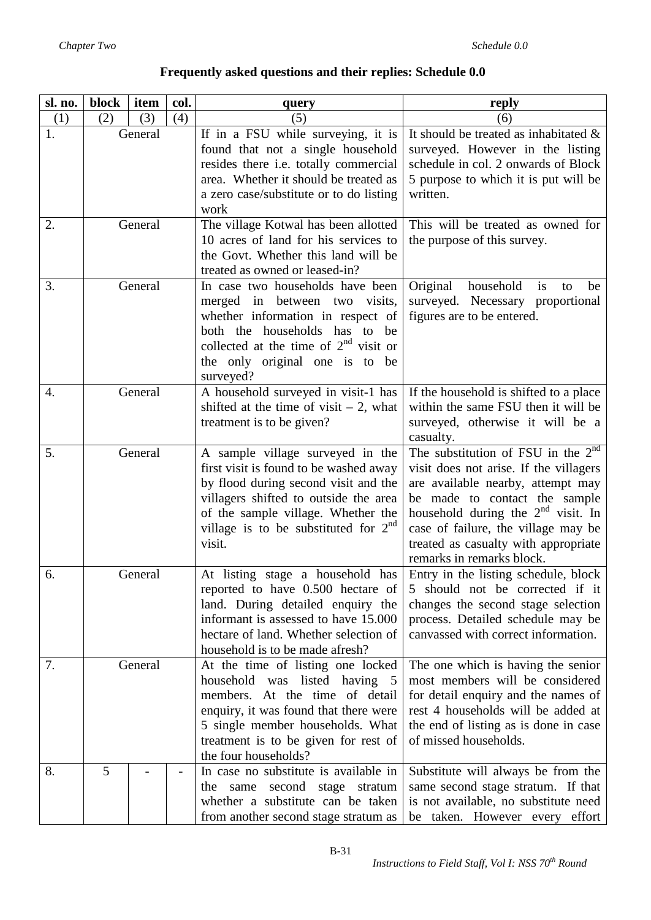| sl. no. | block   | item | col. | query                                                                                                                                                                                                                                                    | reply                                                                                                                                                                                                                                                                                                       |
|---------|---------|------|------|----------------------------------------------------------------------------------------------------------------------------------------------------------------------------------------------------------------------------------------------------------|-------------------------------------------------------------------------------------------------------------------------------------------------------------------------------------------------------------------------------------------------------------------------------------------------------------|
| (1)     | (2)     | (3)  | (4)  | (5)                                                                                                                                                                                                                                                      | (6)                                                                                                                                                                                                                                                                                                         |
| 1.      | General |      |      | If in a FSU while surveying, it is<br>found that not a single household<br>resides there i.e. totally commercial<br>area. Whether it should be treated as<br>a zero case/substitute or to do listing                                                     | It should be treated as inhabitated &<br>surveyed. However in the listing<br>schedule in col. 2 onwards of Block<br>5 purpose to which it is put will be<br>written.                                                                                                                                        |
|         |         |      |      | work                                                                                                                                                                                                                                                     |                                                                                                                                                                                                                                                                                                             |
| 2.      | General |      |      | The village Kotwal has been allotted<br>10 acres of land for his services to<br>the Govt. Whether this land will be<br>treated as owned or leased-in?                                                                                                    | This will be treated as owned for<br>the purpose of this survey.                                                                                                                                                                                                                                            |
| 3.      | General |      |      | In case two households have been<br>merged in between two visits,<br>whether information in respect of<br>both the households has to be<br>collected at the time of $2nd$ visit or<br>the only original one is to be<br>surveyed?                        | Original<br>household<br>is<br>be<br>to<br>surveyed. Necessary proportional<br>figures are to be entered.                                                                                                                                                                                                   |
| 4.      | General |      |      | A household surveyed in visit-1 has<br>shifted at the time of visit $-2$ , what<br>treatment is to be given?                                                                                                                                             | If the household is shifted to a place<br>within the same FSU then it will be<br>surveyed, otherwise it will be a<br>casualty.                                                                                                                                                                              |
| 5.      | General |      |      | A sample village surveyed in the<br>first visit is found to be washed away<br>by flood during second visit and the<br>villagers shifted to outside the area<br>of the sample village. Whether the<br>village is to be substituted for $2^{nd}$<br>visit. | The substitution of FSU in the $2^{nd}$<br>visit does not arise. If the villagers<br>are available nearby, attempt may<br>be made to contact the sample<br>household during the $2nd$ visit. In<br>case of failure, the village may be<br>treated as casualty with appropriate<br>remarks in remarks block. |
| 6.      | General |      |      | At listing stage a household has<br>reported to have 0.500 hectare of<br>land. During detailed enquiry the<br>informant is assessed to have 15.000<br>hectare of land. Whether selection of<br>household is to be made afresh?                           | Entry in the listing schedule, block<br>5 should not be corrected if it<br>changes the second stage selection<br>process. Detailed schedule may be<br>canvassed with correct information.                                                                                                                   |
| 7.      | General |      |      | At the time of listing one locked<br>household was listed having 5<br>members. At the time of detail<br>enquiry, it was found that there were<br>5 single member households. What<br>treatment is to be given for rest of<br>the four households?        | The one which is having the senior<br>most members will be considered<br>for detail enquiry and the names of<br>rest 4 households will be added at<br>the end of listing as is done in case<br>of missed households.                                                                                        |
| 8.      | 5       |      |      | In case no substitute is available in<br>the same second stage stratum<br>whether a substitute can be taken<br>from another second stage stratum as                                                                                                      | Substitute will always be from the<br>same second stage stratum. If that<br>is not available, no substitute need<br>be taken. However every effort                                                                                                                                                          |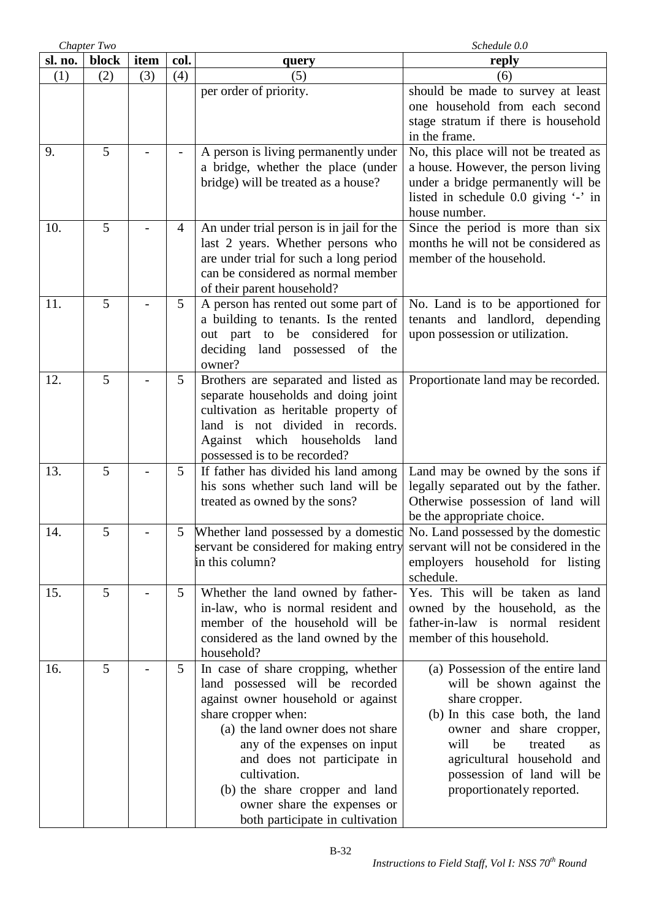|         | Chapter Two |      |                | Schedule 0.0                                                                                                                                                                                                                                                                                                                                               |                                                                                                                                                                                                                                                                                |  |
|---------|-------------|------|----------------|------------------------------------------------------------------------------------------------------------------------------------------------------------------------------------------------------------------------------------------------------------------------------------------------------------------------------------------------------------|--------------------------------------------------------------------------------------------------------------------------------------------------------------------------------------------------------------------------------------------------------------------------------|--|
| sl. no. | block       | item | col.           | query                                                                                                                                                                                                                                                                                                                                                      | reply                                                                                                                                                                                                                                                                          |  |
| (1)     | (2)         | (3)  | (4)            | (5)                                                                                                                                                                                                                                                                                                                                                        | (6)                                                                                                                                                                                                                                                                            |  |
|         |             |      |                | per order of priority.                                                                                                                                                                                                                                                                                                                                     | should be made to survey at least<br>one household from each second<br>stage stratum if there is household<br>in the frame.                                                                                                                                                    |  |
| 9.      | 5           |      |                | A person is living permanently under<br>a bridge, whether the place (under<br>bridge) will be treated as a house?                                                                                                                                                                                                                                          | No, this place will not be treated as<br>a house. However, the person living<br>under a bridge permanently will be<br>listed in schedule 0.0 giving '-' in<br>house number.                                                                                                    |  |
| 10.     | 5           |      | 4              | An under trial person is in jail for the<br>last 2 years. Whether persons who<br>are under trial for such a long period<br>can be considered as normal member<br>of their parent household?                                                                                                                                                                | Since the period is more than six<br>months he will not be considered as<br>member of the household.                                                                                                                                                                           |  |
| 11.     | 5           |      | 5 <sup>1</sup> | A person has rented out some part of<br>a building to tenants. Is the rented<br>out part to be considered for<br>deciding land possessed of<br>the<br>owner?                                                                                                                                                                                               | No. Land is to be apportioned for<br>tenants and landlord, depending<br>upon possession or utilization.                                                                                                                                                                        |  |
| 12.     | 5           |      | 5              | Brothers are separated and listed as<br>separate households and doing joint<br>cultivation as heritable property of<br>land is not divided in records.<br>Against which households<br>land<br>possessed is to be recorded?                                                                                                                                 | Proportionate land may be recorded.                                                                                                                                                                                                                                            |  |
| 13.     | 5           |      | 5 <sup>5</sup> | If father has divided his land among<br>his sons whether such land will be<br>treated as owned by the sons?                                                                                                                                                                                                                                                | Land may be owned by the sons if<br>legally separated out by the father.<br>Otherwise possession of land will<br>be the appropriate choice.                                                                                                                                    |  |
| 14.     | 5           |      |                | 5 Whether land possessed by a domestic No. Land possessed by the domestic<br>servant be considered for making entry<br>in this column?                                                                                                                                                                                                                     | servant will not be considered in the<br>employers household for listing<br>schedule.                                                                                                                                                                                          |  |
| 15.     | 5           |      | 5              | Whether the land owned by father-<br>in-law, who is normal resident and<br>member of the household will be<br>considered as the land owned by the<br>household?                                                                                                                                                                                            | Yes. This will be taken as land<br>owned by the household, as the<br>father-in-law is normal resident<br>member of this household.                                                                                                                                             |  |
| 16.     | 5           |      | 5              | In case of share cropping, whether<br>land possessed will be recorded<br>against owner household or against<br>share cropper when:<br>(a) the land owner does not share<br>any of the expenses on input<br>and does not participate in<br>cultivation.<br>(b) the share cropper and land<br>owner share the expenses or<br>both participate in cultivation | (a) Possession of the entire land<br>will be shown against the<br>share cropper.<br>(b) In this case both, the land<br>owner and share cropper,<br>will<br>be<br>treated<br><b>as</b><br>agricultural household and<br>possession of land will be<br>proportionately reported. |  |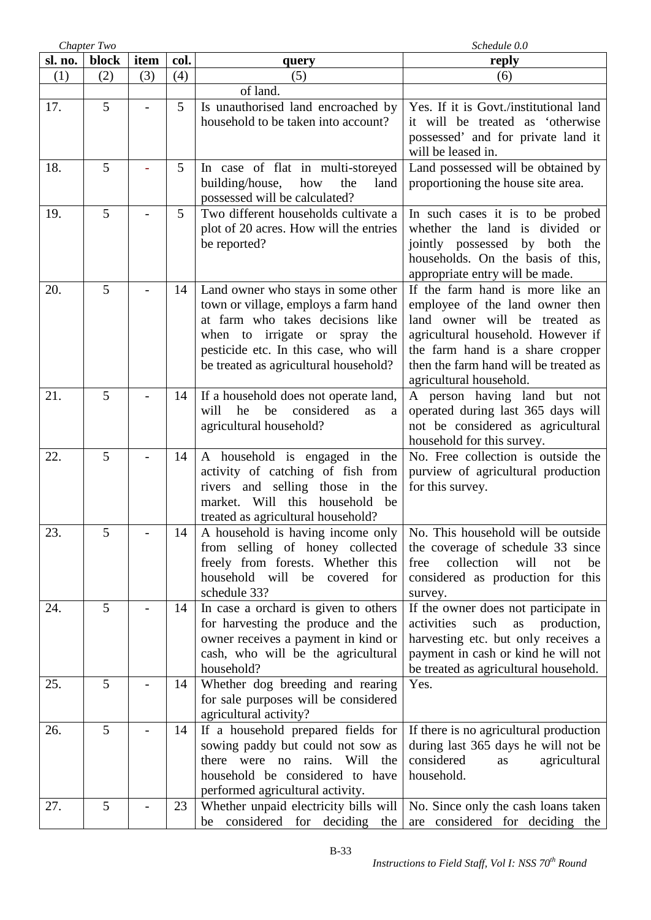|         | Chapter Two |      |      | Schedule 0.0                                                                                                                                                                                                                         |                                                                                                                                                                                                                                                    |  |
|---------|-------------|------|------|--------------------------------------------------------------------------------------------------------------------------------------------------------------------------------------------------------------------------------------|----------------------------------------------------------------------------------------------------------------------------------------------------------------------------------------------------------------------------------------------------|--|
| sl. no. | block       | item | col. | query                                                                                                                                                                                                                                | reply                                                                                                                                                                                                                                              |  |
| (1)     | (2)         | (3)  | (4)  | (5)                                                                                                                                                                                                                                  | (6)                                                                                                                                                                                                                                                |  |
|         |             |      |      | of land.                                                                                                                                                                                                                             |                                                                                                                                                                                                                                                    |  |
| 17.     | 5           |      | 5    | Is unauthorised land encroached by<br>household to be taken into account?                                                                                                                                                            | Yes. If it is Govt./institutional land<br>it will be treated as 'otherwise<br>possessed' and for private land it<br>will be leased in.                                                                                                             |  |
| 18.     | 5           |      | 5    | In case of flat in multi-storeyed<br>building/house,<br>how<br>the<br>land<br>possessed will be calculated?                                                                                                                          | Land possessed will be obtained by<br>proportioning the house site area.                                                                                                                                                                           |  |
| 19.     | 5           |      | 5    | Two different households cultivate a<br>plot of 20 acres. How will the entries<br>be reported?                                                                                                                                       | In such cases it is to be probed<br>whether the land is divided or<br>jointly possessed by both the<br>households. On the basis of this,<br>appropriate entry will be made.                                                                        |  |
| 20.     | 5           |      | 14   | Land owner who stays in some other<br>town or village, employs a farm hand<br>at farm who takes decisions like<br>when to irrigate or spray<br>the<br>pesticide etc. In this case, who will<br>be treated as agricultural household? | If the farm hand is more like an<br>employee of the land owner then<br>land owner will be treated as<br>agricultural household. However if<br>the farm hand is a share cropper<br>then the farm hand will be treated as<br>agricultural household. |  |
| 21.     | 5           |      | 14   | If a household does not operate land,<br>he<br>considered<br>will<br>be<br>as<br>a<br>agricultural household?                                                                                                                        | A person having land but not<br>operated during last 365 days will<br>not be considered as agricultural<br>household for this survey.                                                                                                              |  |
| 22.     | 5           |      | 14   | A household is engaged in the<br>activity of catching of fish from<br>rivers and selling those in the<br>market. Will this<br>household<br>be<br>treated as agricultural household?                                                  | No. Free collection is outside the<br>purview of agricultural production<br>for this survey.                                                                                                                                                       |  |
| 23.     | C           |      | 14   | A household is having income only<br>from selling of honey collected<br>freely from forests. Whether this<br>household will<br>covered<br>be<br>for<br>schedule 33?                                                                  | No. This household will be outside<br>the coverage of schedule 33 since<br>collection<br>will<br>free<br>not<br>be<br>considered as production for this<br>survey.                                                                                 |  |
| 24.     | 5           |      | 14   | In case a orchard is given to others<br>for harvesting the produce and the<br>owner receives a payment in kind or<br>cash, who will be the agricultural<br>household?                                                                | If the owner does not participate in<br>activities<br>such<br>production,<br>as<br>harvesting etc. but only receives a<br>payment in cash or kind he will not<br>be treated as agricultural household.                                             |  |
| 25.     | 5           |      | 14   | Whether dog breeding and rearing<br>for sale purposes will be considered<br>agricultural activity?                                                                                                                                   | Yes.                                                                                                                                                                                                                                               |  |
| 26.     | 5           |      | 14   | If a household prepared fields for<br>sowing paddy but could not sow as<br>there were no rains. Will<br>the<br>household be considered to have<br>performed agricultural activity.                                                   | If there is no agricultural production<br>during last 365 days he will not be<br>considered<br>agricultural<br>as<br>household.                                                                                                                    |  |
| 27.     | 5           |      | 23   | Whether unpaid electricity bills will<br>considered for deciding<br>the<br>be                                                                                                                                                        | No. Since only the cash loans taken<br>are considered for deciding the                                                                                                                                                                             |  |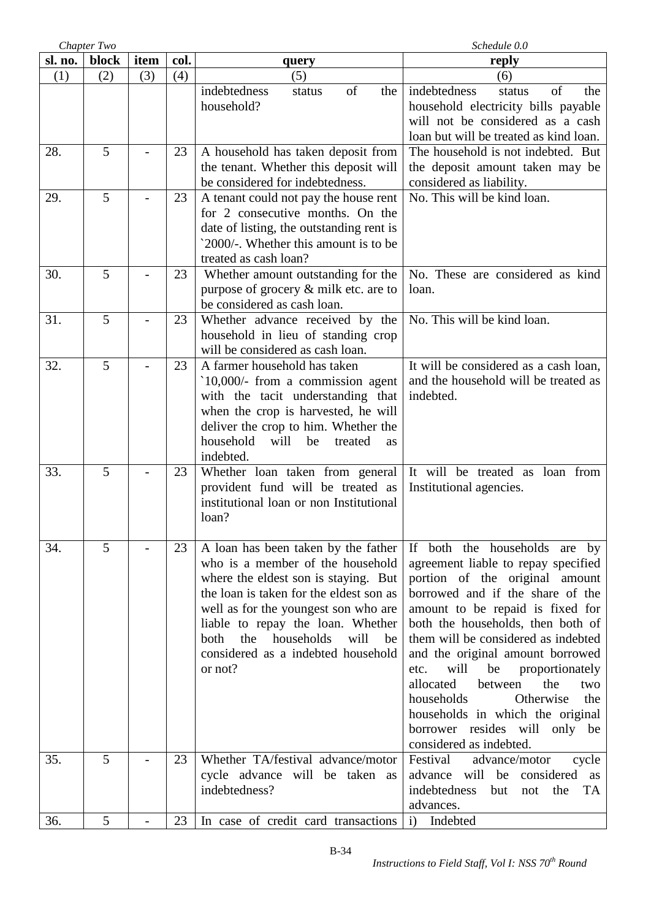|         | Chapter Two |      |      |                                                                                                                                                                                                                                                                                                                                     | Schedule 0.0                                                                                                                                                                                                                                                                                                                                                                                                                                                                                                    |  |  |
|---------|-------------|------|------|-------------------------------------------------------------------------------------------------------------------------------------------------------------------------------------------------------------------------------------------------------------------------------------------------------------------------------------|-----------------------------------------------------------------------------------------------------------------------------------------------------------------------------------------------------------------------------------------------------------------------------------------------------------------------------------------------------------------------------------------------------------------------------------------------------------------------------------------------------------------|--|--|
| sl. no. | block       | item | col. | query                                                                                                                                                                                                                                                                                                                               | reply                                                                                                                                                                                                                                                                                                                                                                                                                                                                                                           |  |  |
| (1)     | (2)         | (3)  | (4)  | (5)                                                                                                                                                                                                                                                                                                                                 | (6)                                                                                                                                                                                                                                                                                                                                                                                                                                                                                                             |  |  |
|         |             |      |      | of<br>indebtedness<br>the<br>status<br>household?                                                                                                                                                                                                                                                                                   | indebtedness<br>of<br>the<br>status<br>household electricity bills payable<br>will not be considered as a cash<br>loan but will be treated as kind loan.                                                                                                                                                                                                                                                                                                                                                        |  |  |
| 28.     | 5           |      | 23   | A household has taken deposit from<br>the tenant. Whether this deposit will<br>be considered for indebtedness.                                                                                                                                                                                                                      | The household is not indebted. But<br>the deposit amount taken may be<br>considered as liability.                                                                                                                                                                                                                                                                                                                                                                                                               |  |  |
| 29.     | 5           |      | 23   | A tenant could not pay the house rent<br>for 2 consecutive months. On the<br>date of listing, the outstanding rent is<br>`2000/-. Whether this amount is to be<br>treated as cash loan?                                                                                                                                             | No. This will be kind loan.                                                                                                                                                                                                                                                                                                                                                                                                                                                                                     |  |  |
| 30.     | 5           |      | 23   | Whether amount outstanding for the<br>purpose of grocery & milk etc. are to<br>be considered as cash loan.                                                                                                                                                                                                                          | No. These are considered as kind<br>loan.                                                                                                                                                                                                                                                                                                                                                                                                                                                                       |  |  |
| 31.     | 5           |      | 23   | Whether advance received by the<br>household in lieu of standing crop<br>will be considered as cash loan.                                                                                                                                                                                                                           | No. This will be kind loan.                                                                                                                                                                                                                                                                                                                                                                                                                                                                                     |  |  |
| 32.     | 5           |      | 23   | A farmer household has taken<br>$10,000/$ - from a commission agent<br>with the tacit understanding that<br>when the crop is harvested, he will<br>deliver the crop to him. Whether the<br>household<br>will<br>be<br>treated<br>as<br>indebted.                                                                                    | It will be considered as a cash loan,<br>and the household will be treated as<br>indebted.                                                                                                                                                                                                                                                                                                                                                                                                                      |  |  |
| 33.     | 5           |      | 23   | Whether loan taken from general<br>provident fund will be treated as<br>institutional loan or non Institutional<br>loan?                                                                                                                                                                                                            | It will be treated as loan from<br>Institutional agencies.                                                                                                                                                                                                                                                                                                                                                                                                                                                      |  |  |
| 34.     | 5           |      | 23   | A loan has been taken by the father<br>who is a member of the household<br>where the eldest son is staying. But<br>the loan is taken for the eldest son as<br>well as for the youngest son who are<br>liable to repay the loan. Whether<br>households<br>will<br>both<br>the<br>be<br>considered as a indebted household<br>or not? | If both the households are by<br>agreement liable to repay specified<br>portion of the original amount<br>borrowed and if the share of the<br>amount to be repaid is fixed for<br>both the households, then both of<br>them will be considered as indebted<br>and the original amount borrowed<br>will<br>be<br>proportionately<br>etc.<br>allocated<br>between<br>the<br>two<br>households<br>Otherwise<br>the<br>households in which the original<br>borrower resides will only be<br>considered as indebted. |  |  |
| 35.     | 5           |      | 23   | Whether TA/festival advance/motor<br>cycle advance will be taken as<br>indebtedness?                                                                                                                                                                                                                                                | Festival<br>advance/motor<br>cycle<br>advance will be<br>considered<br>as<br>indebtedness<br>but<br>the<br>TA<br>not<br>advances.                                                                                                                                                                                                                                                                                                                                                                               |  |  |
| 36.     | 5           |      | 23   | In case of credit card transactions                                                                                                                                                                                                                                                                                                 | $\mathbf{i}$<br>Indebted                                                                                                                                                                                                                                                                                                                                                                                                                                                                                        |  |  |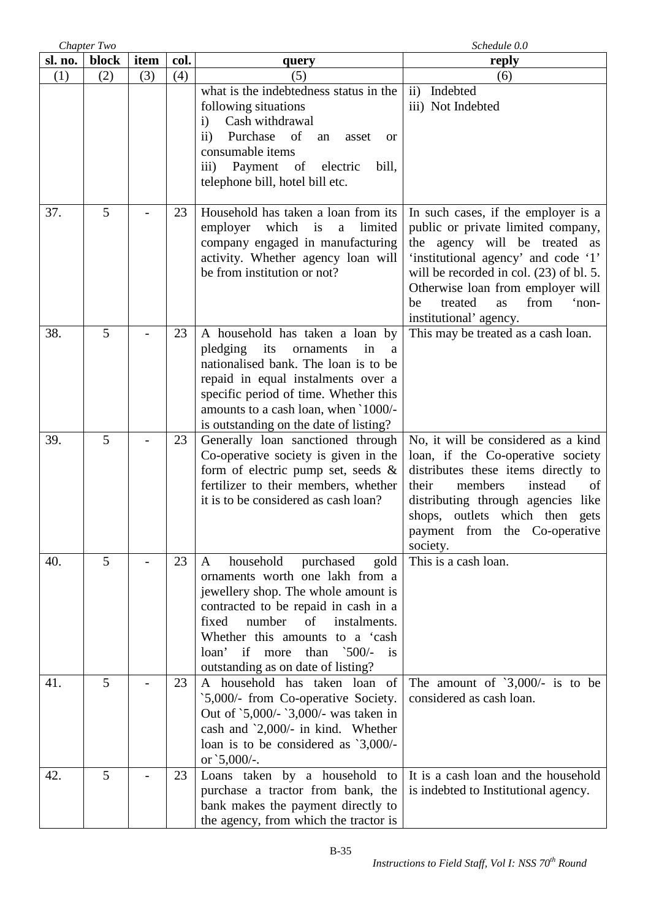|         | Chapter Two |      |      | Schedule 0.0                                                                                                                                                                                                                                                                                                                           |                                                                                                                                                                                                                                                                                                       |
|---------|-------------|------|------|----------------------------------------------------------------------------------------------------------------------------------------------------------------------------------------------------------------------------------------------------------------------------------------------------------------------------------------|-------------------------------------------------------------------------------------------------------------------------------------------------------------------------------------------------------------------------------------------------------------------------------------------------------|
| sl. no. | block       | item | col. | query                                                                                                                                                                                                                                                                                                                                  | reply                                                                                                                                                                                                                                                                                                 |
| (1)     | (2)         | (3)  | (4)  | (5)                                                                                                                                                                                                                                                                                                                                    | (6)                                                                                                                                                                                                                                                                                                   |
|         |             |      |      | what is the indebtedness status in the<br>following situations<br>Cash withdrawal<br>$\mathbf{i}$<br>Purchase of<br>$\mathbf{ii}$<br>an<br>asset<br>or<br>consumable items<br>Payment of<br>electric<br>bill,<br>$\overline{111}$ )<br>telephone bill, hotel bill etc.                                                                 | ii) Indebted<br>iii) Not Indebted                                                                                                                                                                                                                                                                     |
| 37.     | 5           |      | 23   | Household has taken a loan from its<br>employer which is<br>limited<br>a<br>company engaged in manufacturing<br>activity. Whether agency loan will<br>be from institution or not?                                                                                                                                                      | In such cases, if the employer is a<br>public or private limited company,<br>the agency will be treated as<br>'institutional agency' and code '1'<br>will be recorded in col. $(23)$ of bl. 5.<br>Otherwise loan from employer will<br>from<br>treated<br>'non-<br>as<br>be<br>institutional' agency. |
| 38.     | 5           |      | 23   | A household has taken a loan by<br>pledging<br>its<br>ornaments<br>in<br>a<br>nationalised bank. The loan is to be<br>repaid in equal instalments over a<br>specific period of time. Whether this<br>amounts to a cash loan, when '1000/-<br>is outstanding on the date of listing?                                                    | This may be treated as a cash loan.                                                                                                                                                                                                                                                                   |
| 39.     | 5           |      | 23   | Generally loan sanctioned through<br>Co-operative society is given in the<br>form of electric pump set, seeds $\&$<br>fertilizer to their members, whether<br>it is to be considered as cash loan?                                                                                                                                     | No, it will be considered as a kind<br>loan, if the Co-operative society<br>distributes these items directly to<br>members<br>their<br>instead<br>of<br>distributing through agencies like<br>shops, outlets which then gets<br>payment from the Co-operative<br>society.                             |
| 40.     | 5           |      | 23   | household<br>purchased<br>gold<br>A<br>ornaments worth one lakh from a<br>jewellery shop. The whole amount is<br>contracted to be repaid in cash in a<br>fixed<br>number<br>of<br>instalments.<br>Whether this amounts to a 'cash<br>if<br>than<br>loan'<br>more<br>$\frac{500}{5}$<br><i>is</i><br>outstanding as on date of listing? | This is a cash loan.                                                                                                                                                                                                                                                                                  |
| 41.     | 5           |      | 23   | A household has taken loan of<br>`5,000/- from Co-operative Society.<br>Out of '5,000/- '3,000/- was taken in<br>cash and '2,000/- in kind. Whether<br>loan is to be considered as '3,000/-<br>or $5,000/$ -.                                                                                                                          | The amount of $3,000/-$ is to be<br>considered as cash loan.                                                                                                                                                                                                                                          |
| 42.     | 5           |      | 23   | Loans taken by a household to<br>purchase a tractor from bank, the<br>bank makes the payment directly to<br>the agency, from which the tractor is                                                                                                                                                                                      | It is a cash loan and the household<br>is indebted to Institutional agency.                                                                                                                                                                                                                           |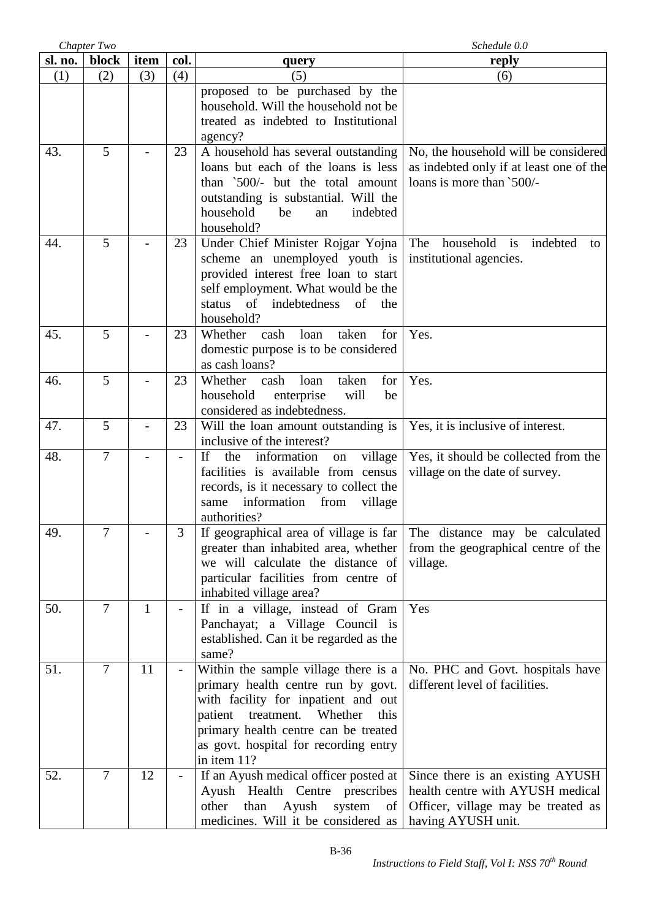|         | Chapter Two    |              |                          |                                                                                                                                                                                                                                                               | Schedule 0.0                                                                                                                     |
|---------|----------------|--------------|--------------------------|---------------------------------------------------------------------------------------------------------------------------------------------------------------------------------------------------------------------------------------------------------------|----------------------------------------------------------------------------------------------------------------------------------|
| sl. no. | block          | item         | col.                     | query                                                                                                                                                                                                                                                         | reply                                                                                                                            |
| (1)     | (2)            | (3)          | (4)                      | (5)                                                                                                                                                                                                                                                           | (6)                                                                                                                              |
|         |                |              |                          | proposed to be purchased by the<br>household. Will the household not be<br>treated as indebted to Institutional<br>agency?                                                                                                                                    |                                                                                                                                  |
| 43.     | 5              |              | 23                       | A household has several outstanding<br>loans but each of the loans is less<br>than '500/- but the total amount<br>outstanding is substantial. Will the<br>household<br>indebted<br>be<br>an<br>household?                                                     | No, the household will be considered<br>as indebted only if at least one of the<br>loans is more than '500/-                     |
| 44.     | 5              |              | 23                       | Under Chief Minister Rojgar Yojna<br>scheme an unemployed youth is<br>provided interest free loan to start<br>self employment. What would be the<br>of<br>indebtedness<br>of<br>status<br>the<br>household?                                                   | i <sub>s</sub><br>The<br>household<br>indebted<br>to<br>institutional agencies.                                                  |
| 45.     | 5              |              | 23                       | cash<br>loan<br>taken<br>for<br>Whether<br>domestic purpose is to be considered<br>as cash loans?                                                                                                                                                             | Yes.                                                                                                                             |
| 46.     | 5              |              | 23                       | for<br>Whether<br>cash<br>loan<br>taken<br>household<br>enterprise<br>will<br>be<br>considered as indebtedness.                                                                                                                                               | Yes.                                                                                                                             |
| 47.     | 5              |              | 23                       | Will the loan amount outstanding is<br>inclusive of the interest?                                                                                                                                                                                             | Yes, it is inclusive of interest.                                                                                                |
| 48.     | $\overline{7}$ |              | $\overline{\phantom{0}}$ | information<br>If<br>the<br>village<br>on<br>facilities is available from census<br>records, is it necessary to collect the<br>information<br>village<br>same<br>from<br>authorities?                                                                         | Yes, it should be collected from the<br>village on the date of survey.                                                           |
| 49.     |                |              | 3                        | If geographical area of village is far<br>greater than inhabited area, whether<br>we will calculate the distance of<br>particular facilities from centre of<br>inhabited village area?                                                                        | The distance may be calculated<br>from the geographical centre of the<br>village.                                                |
| 50.     | $\overline{7}$ | $\mathbf{1}$ |                          | If in a village, instead of Gram<br>Panchayat; a Village Council is<br>established. Can it be regarded as the<br>same?                                                                                                                                        | Yes                                                                                                                              |
| 51.     | $\overline{7}$ | 11           | $\overline{\phantom{a}}$ | Within the sample village there is a<br>primary health centre run by govt.<br>with facility for inpatient and out<br>Whether<br>patient<br>treatment.<br>this<br>primary health centre can be treated<br>as govt. hospital for recording entry<br>in item 11? | No. PHC and Govt. hospitals have<br>different level of facilities.                                                               |
| 52.     | 7              | 12           |                          | If an Ayush medical officer posted at<br>Ayush Health Centre prescribes<br>Ayush<br>than<br>other<br>system<br>of<br>medicines. Will it be considered as                                                                                                      | Since there is an existing AYUSH<br>health centre with AYUSH medical<br>Officer, village may be treated as<br>having AYUSH unit. |